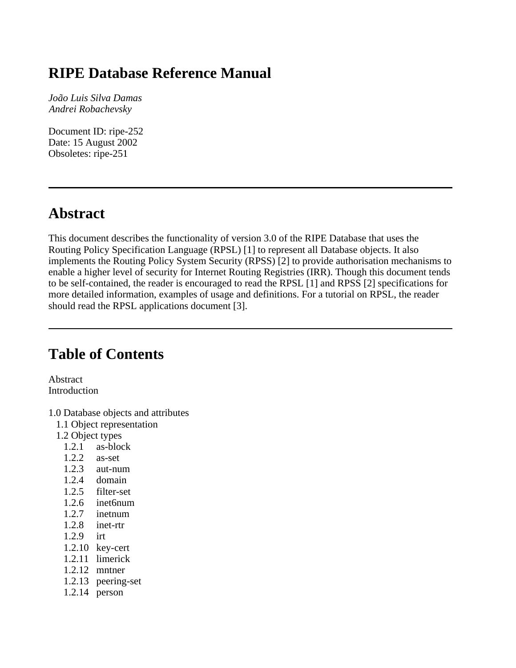# **RIPE Database Reference Manual**

*João Luis Silva Damas Andrei Robachevsky*

Document ID: ripe-252 Date: 15 August 2002 Obsoletes: ripe-251

# **Abstract**

This document describes the functionality of version 3.0 of the RIPE Database that uses the Routing Policy Specification Language (RPSL) [1] to represent all Database objects. It also implements the Routing Policy System Security (RPSS) [2] to provide authorisation mechanisms to enable a higher level of security for Internet Routing Registries (IRR). Though this document tends to be self-contained, the reader is encouraged to read the RPSL [1] and RPSS [2] specifications for more detailed information, examples of usage and definitions. For a tutorial on RPSL, the reader should read the RPSL applications document [3].

# **Table of Contents**

Abstract Introduction

- 1.0 Database objects and attributes
	- 1.1 Object representation
	- 1.2 Object types
		- 1.2.1 as-block
		- 1.2.2 as-set
		- 1.2.3 aut-num
		- 1.2.4 domain
		-
		- $1.2.5$  filter-set<br>1.2.6 inet6num inet6num
		-
		- $1.2.7$  inetnum<br> $1.2.8$  inet-rtr inet-rtr
		- 1.2.9 irt
		- 1.2.10 key-cert
		- 1.2.11 limerick
		- 1.2.12 mntner
		- 1.2.13 peering-set
		- 1.2.14 person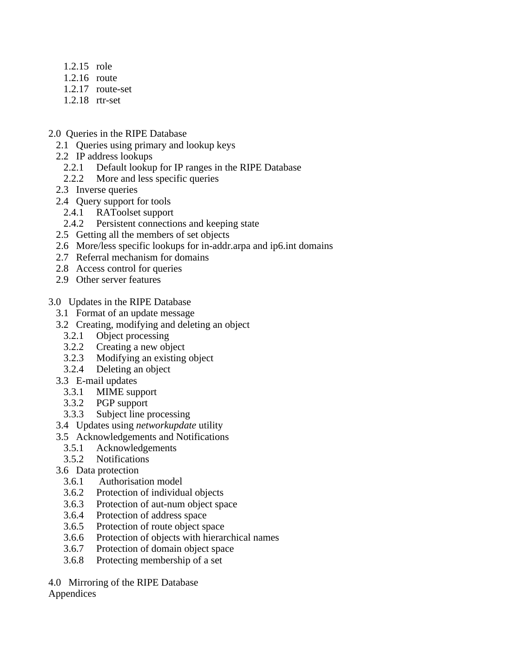- 1.2.15 role
- 1.2.16 route
- 1.2.17 route-set
- 1.2.18 rtr-set
- 2.0 Queries in the RIPE Database
	- 2.1 Queries using primary and lookup keys
	- 2.2 IP address lookups
		- 2.2.1 Default lookup for IP ranges in the RIPE Database
		- 2.2.2 More and less specific queries
	- 2.3 Inverse queries
	- 2.4 Query support for tools
		- 2.4.1 RAToolset support
		- 2.4.2 Persistent connections and keeping state
	- 2.5 Getting all the members of set objects
	- 2.6 More/less specific lookups for in-addr.arpa and ip6.int domains
	- 2.7 Referral mechanism for domains
	- 2.8 Access control for queries
	- 2.9 Other server features
- 3.0 Updates in the RIPE Database
	- 3.1 Format of an update message
	- 3.2 Creating, modifying and deleting an object
		- 3.2.1 Object processing
		- 3.2.2 Creating a new object<br>3.2.3 Modifying an existing
		- Modifying an existing object
		- 3.2.4 Deleting an object
	- 3.3 E-mail updates
		- 3.3.1 MIME support
		- 3.3.2 PGP support<br>3.3.3 Subject line r
		- Subject line processing
	- 3.4 Updates using *networkupdate* utility
	- 3.5 Acknowledgements and Notifications
		- 3.5.1 Acknowledgements
		- 3.5.2 Notifications
	- 3.6 Data protection
		- 3.6.1 Authorisation model
		- 3.6.2 Protection of individual objects
		- 3.6.3 Protection of aut-num object space
		- 3.6.4 Protection of address space
		- 3.6.5 Protection of route object space
		- 3.6.6 Protection of objects with hierarchical names
		- 3.6.7 Protection of domain object space
		- 3.6.8 Protecting membership of a set
- 4.0 Mirroring of the RIPE Database

### Appendices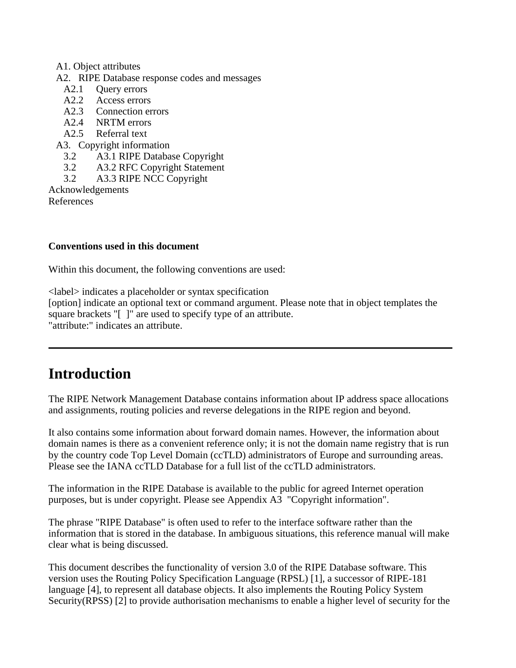#### A1. Object attributes

- A2. RIPE Database response codes and messages
	- A2.1 Ouerv errors
	- A2.2 Access errors<br>A2.3 Connection er
	- Connection errors
	- A2.4 NRTM errors
	- A2.5 Referral text
- A3. Copyright information
	- 3.2 A3.1 RIPE Database Copyright
	- 3.2 A3.2 RFC Copyright Statement
	- 3.2 A3.3 RIPE NCC Copyright

Acknowledgements

References

### **Conventions used in this document**

Within this document, the following conventions are used:

<label> indicates a placeholder or syntax specification

[option] indicate an optional text or command argument. Please note that in object templates the square brackets "[]" are used to specify type of an attribute. "attribute:" indicates an attribute.

# **Introduction**

The RIPE Network Management Database contains information about IP address space allocations and assignments, routing policies and reverse delegations in the RIPE region and beyond.

It also contains some information about forward domain names. However, the information about domain names is there as a convenient reference only; it is not the domain name registry that is run by the country code Top Level Domain (ccTLD) administrators of Europe and surrounding areas. Please see the IANA ccTLD Database for a full list of the ccTLD administrators.

The information in the RIPE Database is available to the public for agreed Internet operation purposes, but is under copyright. Please see Appendix A3 "Copyright information".

The phrase "RIPE Database" is often used to refer to the interface software rather than the information that is stored in the database. In ambiguous situations, this reference manual will make clear what is being discussed.

This document describes the functionality of version 3.0 of the RIPE Database software. This version uses the Routing Policy Specification Language (RPSL) [1], a successor of RIPE-181 language [4], to represent all database objects. It also implements the Routing Policy System Security(RPSS) [2] to provide authorisation mechanisms to enable a higher level of security for the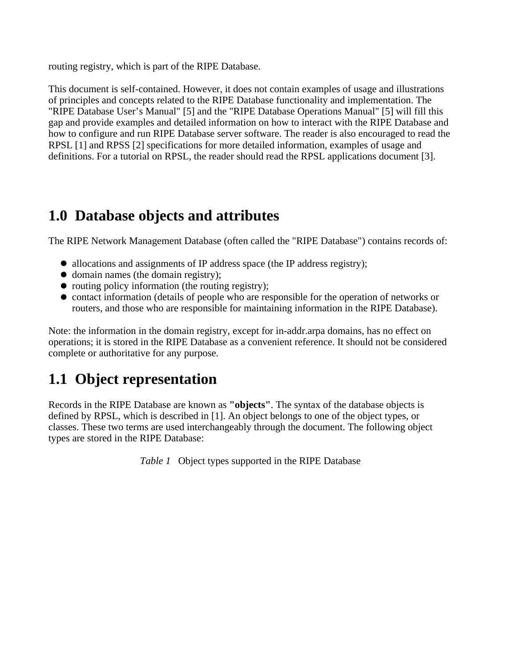routing registry, which is part of the RIPE Database.

This document is self-contained. However, it does not contain examples of usage and illustrations of principles and concepts related to the RIPE Database functionality and implementation. The "RIPE Database User's Manual" [5] and the "RIPE Database Operations Manual" [5] will fill this gap and provide examples and detailed information on how to interact with the RIPE Database and how to configure and run RIPE Database server software. The reader is also encouraged to read the RPSL [1] and RPSS [2] specifications for more detailed information, examples of usage and definitions. For a tutorial on RPSL, the reader should read the RPSL applications document [3].

# **1.0 Database objects and attributes**

The RIPE Network Management Database (often called the "RIPE Database") contains records of:

- allocations and assignments of IP address space (the IP address registry);
- domain names (the domain registry);
- $\bullet$  routing policy information (the routing registry);
- contact information (details of people who are responsible for the operation of networks or routers, and those who are responsible for maintaining information in the RIPE Database).

Note: the information in the domain registry, except for in-addr.arpa domains, has no effect on operations; it is stored in the RIPE Database as a convenient reference. It should not be considered complete or authoritative for any purpose.

# **1.1 Object representation**

Records in the RIPE Database are known as **"objects"**. The syntax of the database objects is defined by RPSL, which is described in [1]. An object belongs to one of the object types, or classes. These two terms are used interchangeably through the document. The following object types are stored in the RIPE Database:

*Table 1* Object types supported in the RIPE Database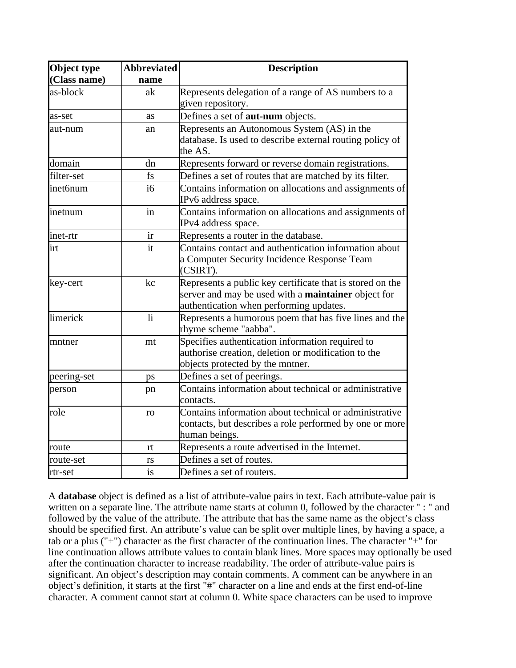| Object type  | <b>Abbreviated</b>      | <b>Description</b>                                                              |
|--------------|-------------------------|---------------------------------------------------------------------------------|
| (Class name) | name                    |                                                                                 |
| as-block     | ak                      | Represents delegation of a range of AS numbers to a                             |
|              |                         | given repository.                                                               |
| as-set       | as                      | Defines a set of <b>aut-num</b> objects.                                        |
| aut-num      | an                      | Represents an Autonomous System (AS) in the                                     |
|              |                         | database. Is used to describe external routing policy of<br>the AS.             |
| domain       | dn                      | Represents forward or reverse domain registrations.                             |
| filter-set   | fs                      | Defines a set of routes that are matched by its filter.                         |
| inet6num     | i6                      | Contains information on allocations and assignments of<br>IPv6 address space.   |
| inetnum      | in                      | Contains information on allocations and assignments of<br>IPv4 address space.   |
| inet-rtr     | ir                      | Represents a router in the database.                                            |
| irt          | it                      | Contains contact and authentication information about                           |
|              |                         | a Computer Security Incidence Response Team<br>(CSIRT).                         |
| key-cert     | kc                      | Represents a public key certificate that is stored on the                       |
|              |                         | server and may be used with a <b>maintainer</b> object for                      |
|              |                         | authentication when performing updates.                                         |
| limerick     | $\overline{\mathbf{h}}$ | Represents a humorous poem that has five lines and the<br>rhyme scheme "aabba". |
| mntner       | mt                      | Specifies authentication information required to                                |
|              |                         | authorise creation, deletion or modification to the                             |
|              |                         | objects protected by the mntner.                                                |
| peering-set  | ps                      | Defines a set of peerings.                                                      |
| person       | pn                      | Contains information about technical or administrative                          |
|              |                         | contacts.                                                                       |
| role         | ro                      | Contains information about technical or administrative                          |
|              |                         | contacts, but describes a role performed by one or more                         |
|              |                         | human beings.                                                                   |
| route        | rt                      | Represents a route advertised in the Internet.                                  |
| route-set    | rs                      | Defines a set of routes.                                                        |
| lrtr-set     | is                      | Defines a set of routers.                                                       |

A **database** object is defined as a list of attribute-value pairs in text. Each attribute-value pair is written on a separate line. The attribute name starts at column 0, followed by the character " : " and followed by the value of the attribute. The attribute that has the same name as the object's class should be specified first. An attribute's value can be split over multiple lines, by having a space, a tab or a plus ("+") character as the first character of the continuation lines. The character "+" for line continuation allows attribute values to contain blank lines. More spaces may optionally be used after the continuation character to increase readability. The order of attribute-value pairs is significant. An object's description may contain comments. A comment can be anywhere in an object's definition, it starts at the first "#" character on a line and ends at the first end-of-line character. A comment cannot start at column 0. White space characters can be used to improve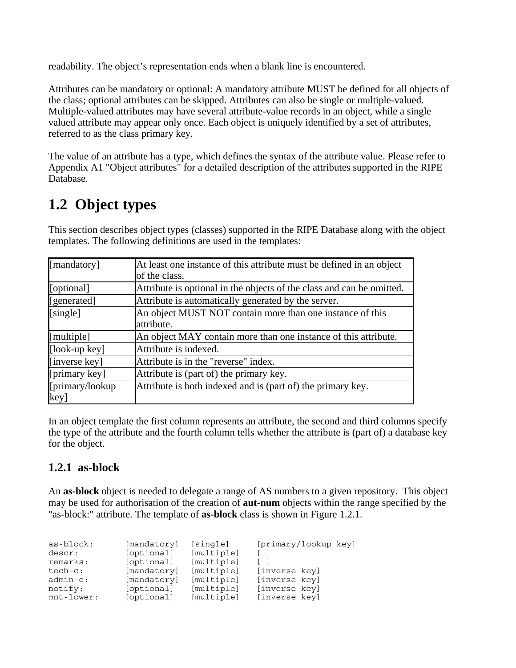readability. The object's representation ends when a blank line is encountered.

Attributes can be mandatory or optional: A mandatory attribute MUST be defined for all objects of the class; optional attributes can be skipped. Attributes can also be single or multiple-valued. Multiple-valued attributes may have several attribute-value records in an object, while a single valued attribute may appear only once. Each object is uniquely identified by a set of attributes, referred to as the class primary key.

The value of an attribute has a type, which defines the syntax of the attribute value. Please refer to Appendix A1 "Object attributes" for a detailed description of the attributes supported in the RIPE Database.

# **1.2 Object types**

This section describes object types (classes) supported in the RIPE Database along with the object templates. The following definitions are used in the templates:

| [mandatory]                             | At least one instance of this attribute must be defined in an object  |  |  |
|-----------------------------------------|-----------------------------------------------------------------------|--|--|
|                                         | of the class.                                                         |  |  |
| [[optional]                             | Attribute is optional in the objects of the class and can be omitted. |  |  |
| [[generated]                            | Attribute is automatically generated by the server.                   |  |  |
| $\sqrt{\sin(2\pi)}$                     | An object MUST NOT contain more than one instance of this             |  |  |
|                                         | lattribute.                                                           |  |  |
| $[$ multiple $]$                        | An object MAY contain more than one instance of this attribute.       |  |  |
| $[$ look-up key $]$                     | Attribute is indexed.                                                 |  |  |
| [inverse key]                           | Attribute is in the "reverse" index.                                  |  |  |
| [ $\left[ \text{primary key} \right]$ ] | Attribute is (part of) the primary key.                               |  |  |
| [primary/lookup]                        | Attribute is both indexed and is (part of) the primary key.           |  |  |
| [key]                                   |                                                                       |  |  |

In an object template the first column represents an attribute, the second and third columns specify the type of the attribute and the fourth column tells whether the attribute is (part of) a database key for the object.

### **1.2.1 as-block**

An **as-block** object is needed to delegate a range of AS numbers to a given repository. This object may be used for authorisation of the creation of **aut-num** objects within the range specified by the "as-block:" attribute. The template of **as-block** class is shown in Figure 1.2.1.

| as-block:     | [mandatory] | [single]   | [primary/lookup key] |
|---------------|-------------|------------|----------------------|
| descr:        | [optional]  | [multiple] |                      |
| remarks:      | [optional]  | [multiple] |                      |
| $tech-c:$     | [mandatory] | [multiple] | [inverse key]        |
| $admin-c$ :   | [mandatory] | [multiple] | [inverse key]        |
| notify:       | [optional]  | [multiple] | [inverse key]        |
| $mnt$ -lower: | [optional]  | [multiple] | [inverse key]        |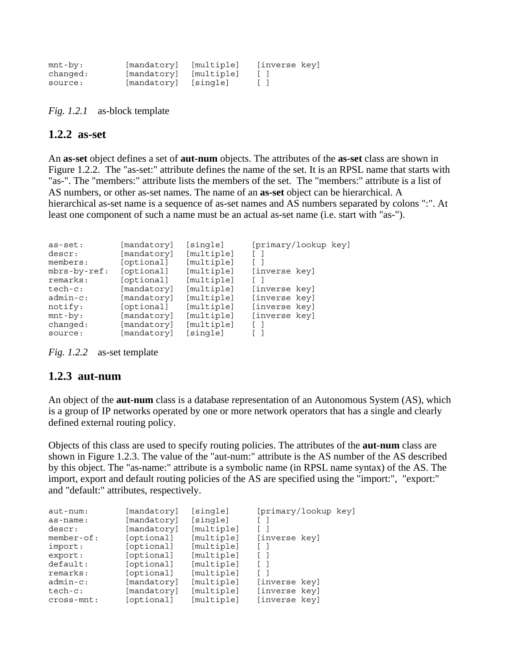| mnt-by:  | [mandatory] [multiple] | [inverse key] |
|----------|------------------------|---------------|
| chanqed: | [mandatory] [multiple] |               |
| source:  | [mandatory] [single]   |               |

*Fig. 1.2.1* as-block template

#### **1.2.2 as-set**

An **as-set** object defines a set of **aut-num** objects. The attributes of the **as-set** class are shown in Figure 1.2.2. The "as-set:" attribute defines the name of the set. It is an RPSL name that starts with "as-". The "members:" attribute lists the members of the set. The "members:" attribute is a list of AS numbers, or other as-set names. The name of an **as-set** object can be hierarchical. A hierarchical as-set name is a sequence of as-set names and AS numbers separated by colons ":". At least one component of such a name must be an actual as-set name (i.e. start with "as-").

| $as-set:$<br>descr:<br>members:<br>mbrs-by-ref:<br>remarks:<br>$tech-c:$<br>$admin-c$ :<br>notify:<br>$mnt-by:$ | [mandatory]<br>[mandatory]<br>[optional]<br>[optional]<br>[optional]<br>[mandatory]<br>[mandatory]<br>[optional]<br>[mandatory] | [single]<br>[multiple]<br>[multiple]<br>[multiple]<br>[multiple]<br>[multiple]<br>[multiple]<br>[multiple]<br>[multiple] | [primary/lookup key]<br>[inverse key]<br>[inverse key]<br>[inverse key]<br>[inverse key]<br>[inverse key] |
|-----------------------------------------------------------------------------------------------------------------|---------------------------------------------------------------------------------------------------------------------------------|--------------------------------------------------------------------------------------------------------------------------|-----------------------------------------------------------------------------------------------------------|
| changed:                                                                                                        | [mandatory]                                                                                                                     | [multiple]                                                                                                               |                                                                                                           |
| source:                                                                                                         | [mandatory]                                                                                                                     | [single]                                                                                                                 |                                                                                                           |

*Fig. 1.2.2* as-set template

#### **1.2.3 aut-num**

An object of the **aut-num** class is a database representation of an Autonomous System (AS), which is a group of IP networks operated by one or more network operators that has a single and clearly defined external routing policy.

Objects of this class are used to specify routing policies. The attributes of the **aut-num** class are shown in Figure 1.2.3. The value of the "aut-num:" attribute is the AS number of the AS described by this object. The "as-name:" attribute is a symbolic name (in RPSL name syntax) of the AS. The import, export and default routing policies of the AS are specified using the "import:", "export:" and "default:" attributes, respectively.

| $aut$ - $num:$ | [mandatory] | [single]   | [primary/lookup key] |  |
|----------------|-------------|------------|----------------------|--|
| as-name:       | [mandatory] | [single]   |                      |  |
| descr:         | [mandatory] | [multiple] |                      |  |
| $member-of:$   | [optional]  | [multiple] | [inverse key]        |  |
| import:        | [optional]  | [multiple] |                      |  |
| export:        | [optional]  | [multiple] |                      |  |
| default:       | [optional]  | [multiple] |                      |  |
| remarks:       | [optional]  | [multiple] |                      |  |
| $admin-c$ :    | [mandatory] | [multiple] | [inverse key]        |  |
| $tech-c:$      | [mandatory] | [multiple] | [inverse key]        |  |
| $cross-mnt:$   | [optional]  | [multiple] | [inverse key]        |  |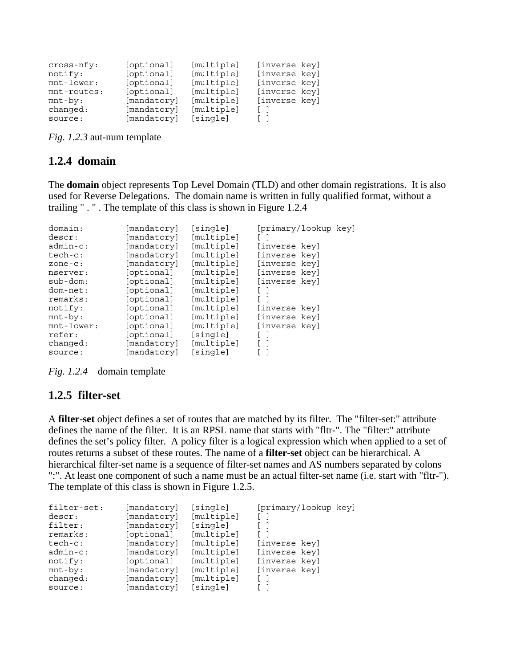| cross-nfy:<br>notify:<br>$mnt$ -lower:<br>mnt-routes:<br>$mnt-by:$<br>changed: | [optional]<br>[optional]<br>[optional]<br>[optional]<br>[mandatory]<br>[mandatory] | [multiple]<br>[multiple]<br>[multiple]<br>[multiple]<br>[multiple]<br>[multiple] | [inverse key]<br>[inverse key]<br>[inverse key]<br>[inverse key]<br>[inverse key] |  |
|--------------------------------------------------------------------------------|------------------------------------------------------------------------------------|----------------------------------------------------------------------------------|-----------------------------------------------------------------------------------|--|
| source:                                                                        | [mandatory]                                                                        | [single]                                                                         |                                                                                   |  |

*Fig. 1.2.3* aut-num template

### **1.2.4 domain**

The **domain** object represents Top Level Domain (TLD) and other domain registrations. It is also used for Reverse Delegations. The domain name is written in fully qualified format, without a trailing " . " . The template of this class is shown in Figure 1.2.4

| domain:       | [mandatory] | [single]   | [primary/lookup key] |
|---------------|-------------|------------|----------------------|
| descr:        | [mandatory] | [multiple] |                      |
| $admin-c$ :   | [mandatory] | [multiple] | [inverse key]        |
| $tech-c:$     | [mandatory] | [multiple] | [inverse key]        |
| $zone-c$ :    | [mandatory] | [multiple] | [inverse key]        |
| nserver:      | [optional]  | [multiple] | [inverse key]        |
| $sub-dom:$    | [optional]  | [multiple] | [inverse key]        |
| dom-net:      | [optional]  | [multiple] | $\mathbf{1}$         |
| remarks:      | [optional]  | [multiple] |                      |
| notify:       | [optional]  | [multiple] | [inverse key]        |
| $mnt-by:$     | [optional]  | [multiple] | [inverse key]        |
| $mnt$ -lower: | [optional]  | [multiple] | [inverse key]        |
| refer:        | [optional]  | [single]   |                      |
| changed:      | [mandatory] | [multiple] |                      |
| source:       | [mandatory] | [single]   |                      |

*Fig. 1.2.4* domain template

### **1.2.5 filter-set**

A **filter-set** object defines a set of routes that are matched by its filter. The "filter-set:" attribute defines the name of the filter. It is an RPSL name that starts with "fltr-". The "filter:" attribute defines the set's policy filter. A policy filter is a logical expression which when applied to a set of routes returns a subset of these routes. The name of a **filter-set** object can be hierarchical. A hierarchical filter-set name is a sequence of filter-set names and AS numbers separated by colons ":". At least one component of such a name must be an actual filter-set name (i.e. start with "fltr-"). The template of this class is shown in Figure 1.2.5.

| filter-set: | [mandatory] | [single]   | [primary/lookup key] |
|-------------|-------------|------------|----------------------|
| descr:      | [mandatory] | [multiple] |                      |
| filter:     | [mandatory] | [single]   |                      |
| remarks:    | [optional]  | [multiple] |                      |
| $tech-c:$   | [mandatory] | [multiple] | [inverse key]        |
| $admin-c$ : | [mandatory] | [multiple] | [inverse key]        |
| notify:     | [optional]  | [multiple] | [inverse key]        |
| $mnt-by:$   | [mandatory] | [multiple] | [inverse key]        |
| changed:    | [mandatory] | [multiple] |                      |
| source:     | [mandatory] | [single]   |                      |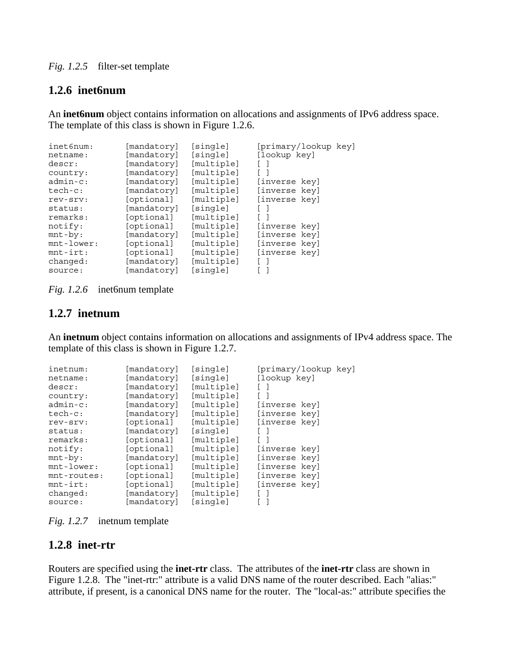### *Fig. 1.2.5* filter-set template

### **1.2.6 inet6num**

An **inet6num** object contains information on allocations and assignments of IPv6 address space. The template of this class is shown in Figure 1.2.6.

| inet6num:     | [mandatory] | [single]   | [primary/lookup key] |
|---------------|-------------|------------|----------------------|
| netname:      | [mandatory] | [single]   | [lookup key]         |
| descr:        | [mandatory] | [multiple] |                      |
| country:      | [mandatory] | [multiple] |                      |
| $admin-c$ :   | [mandatory] | [multiple] | [inverse key]        |
| $tech-c:$     | [mandatory] | [multiple] | [inverse key]        |
| rev-srv:      | [optional]  | [multiple] | [inverse key]        |
| status:       | [mandatory] | [single]   |                      |
| remarks:      | [optional]  | [multiple] |                      |
| notify:       | [optional]  | [multiple] | [inverse key]        |
| $mnt-by:$     | [mandatory] | [multiple] | [inverse key]        |
| $mnt$ -lower: | [optional]  | [multiple] | [inverse key]        |
| $mnt-irt:$    | [optional]  | [multiple] | [inverse key]        |
| changed:      | [mandatory] | [multiple] |                      |
| source:       | [mandatory] | [single]   |                      |

*Fig. 1.2.6* inet6num template

### **1.2.7 inetnum**

An **inetnum** object contains information on allocations and assignments of IPv4 address space. The template of this class is shown in Figure 1.2.7.

| inetnum:      | [mandatory] | [sinqle]   | [primary/lookup key] |
|---------------|-------------|------------|----------------------|
| netname:      | [mandatory] | [single]   | [lookup key]         |
| descr:        | [mandatory] | [multiple] |                      |
| country:      | [mandatory] | [multiple] |                      |
| $admin-c$ :   | [mandatory] | [multiple] | [inverse key]        |
| $tech-c:$     | [mandatory] | [multiple] | [inverse key]        |
| rev-srv:      | [optional]  | [multiple] | [inverse key]        |
| status:       | [mandatory] | [single]   |                      |
| remarks:      | [optional]  | [multiple] |                      |
| notify:       | [optional]  | [multiple] | [inverse key]        |
| $mnt-by:$     | [mandatory] | [multiple] | [inverse key]        |
| $mnt$ -lower: | [optional]  | [multiple] | [inverse key]        |
| mnt-routes:   | [optional]  | [multiple] | [inverse key]        |
| $mnt-irt:$    | [optional]  | [multiple] | [inverse key]        |
| changed:      | [mandatory] | [multiple] |                      |
| source:       | [mandatory] | [single]   |                      |

*Fig. 1.2.7* inetnum template

### **1.2.8 inet-rtr**

Routers are specified using the **inet-rtr** class. The attributes of the **inet-rtr** class are shown in Figure 1.2.8. The "inet-rtr:" attribute is a valid DNS name of the router described. Each "alias:" attribute, if present, is a canonical DNS name for the router. The "local-as:" attribute specifies the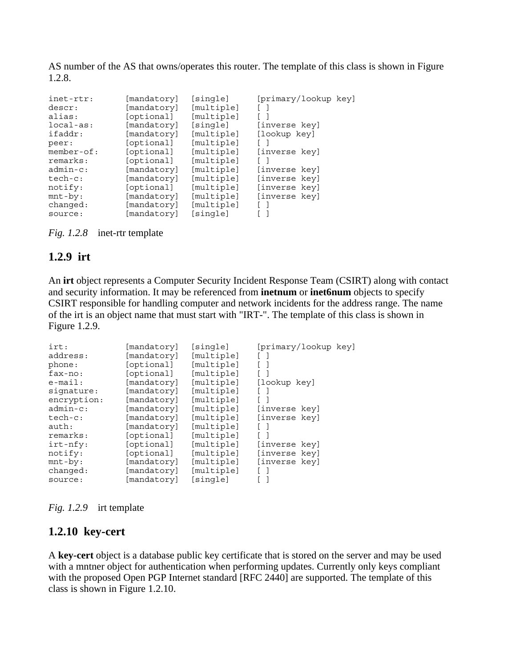AS number of the AS that owns/operates this router. The template of this class is shown in Figure 1.2.8.

| inet-rtr:<br>descr:<br>alias:<br>$local-as:$<br>ifaddr:<br>peer:<br>$member-of:$<br>remarks:<br>$admin-c$ :<br>$tech-c:$<br>notify:<br>$mnt-by:$ | [mandatory]<br>[mandatory]<br>[optional]<br>[mandatory]<br>[mandatory]<br>[optional]<br>[optional]<br>[optional]<br>[mandatory]<br>[mandatory]<br>[optional]<br>[mandatory] | [single]<br>[multiple]<br>[multiple]<br>[single]<br>[multiple]<br>[multiple]<br>[multiple]<br>[multiple]<br>[multiple]<br>[multiple]<br>[multiple]<br>[multiple] | [primary/lookup key]<br>[inverse key]<br>[lookup key]<br>[inverse key]<br>[inverse key]<br>[inverse key]<br>[inverse key]<br>[inverse key] |
|--------------------------------------------------------------------------------------------------------------------------------------------------|-----------------------------------------------------------------------------------------------------------------------------------------------------------------------------|------------------------------------------------------------------------------------------------------------------------------------------------------------------|--------------------------------------------------------------------------------------------------------------------------------------------|
| changed:                                                                                                                                         | [mandatory]                                                                                                                                                                 | [multiple]                                                                                                                                                       |                                                                                                                                            |
| source:                                                                                                                                          | [mandatory]                                                                                                                                                                 | [single]                                                                                                                                                         |                                                                                                                                            |

*Fig. 1.2.8* inet-rtr template

### **1.2.9 irt**

An **irt** object represents a Computer Security Incident Response Team (CSIRT) along with contact and security information. It may be referenced from **inetnum** or **inet6num** objects to specify CSIRT responsible for handling computer and network incidents for the address range. The name of the irt is an object name that must start with "IRT-". The template of this class is shown in Figure 1.2.9.

| irt:        | [mandatory] | [single]   | [primary/lookup key] |
|-------------|-------------|------------|----------------------|
| address:    | [mandatory] | [multiple] |                      |
| phone:      | [optional]  | [multiple] |                      |
| fax-no:     | [optional]  | [multiple] |                      |
| $e$ -mail:  | [mandatory] | [multiple] | [lookup key]         |
| signature:  | [mandatory] | [multiple] |                      |
| encryption: | [mandatory] | [multiple] |                      |
| $admin-c$ : | [mandatory] | [multiple] | [inverse key]        |
| $tech-c:$   | [mandatory] | [multiple] | [inverse key]        |
| auth:       | [mandatory] | [multiple] |                      |
| remarks:    | [optional]  | [multiple] |                      |
| $irt-nfy$ : | [optional]  | [multiple] | [inverse key]        |
| notify:     | [optional]  | [multiple] | [inverse key]        |
| $mnt-by:$   | [mandatory] | [multiple] | [inverse key]        |
| changed:    | [mandatory] | [multiple] |                      |
| source:     | [mandatory] | [single]   |                      |

*Fig. 1.2.9* irt template

### **1.2.10 key-cert**

A **key-cert** object is a database public key certificate that is stored on the server and may be used with a mntner object for authentication when performing updates. Currently only keys compliant with the proposed Open PGP Internet standard [RFC 2440] are supported. The template of this class is shown in Figure 1.2.10.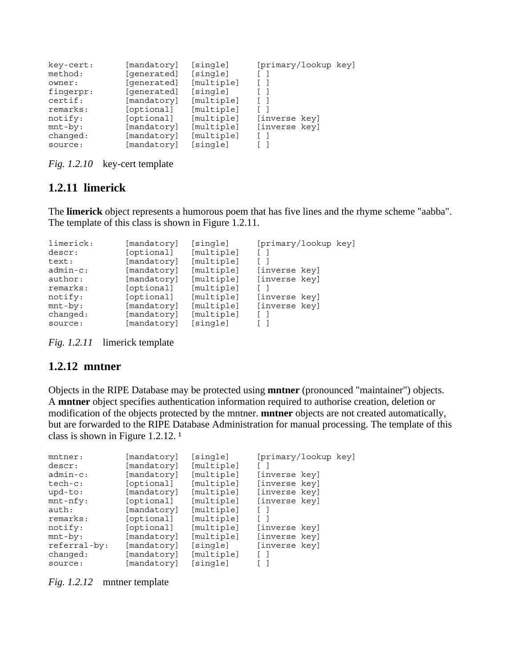| key-cert: | [mandatory] | [single]   | [primary/lookup key] |
|-----------|-------------|------------|----------------------|
| method:   | [generated] | [single]   |                      |
| owner:    | [qenerated] | [multiple] |                      |
| fingerpr: | [qenerated] | [single]   |                      |
| certif:   | [mandatory] | [multiple] |                      |
| remarks:  | [optional]  | [multiple] |                      |
| notify:   | [optional]  | [multiple] | [inverse key]        |
| $mnt-by:$ | [mandatory] | [multiple] | [inverse key]        |
| changed:  | [mandatory] | [multiple] |                      |
| source:   | [mandatory] | [single]   |                      |

*Fig. 1.2.10* key-cert template

### **1.2.11 limerick**

The **limerick** object represents a humorous poem that has five lines and the rhyme scheme "aabba". The template of this class is shown in Figure 1.2.11.

| limerick:   | [mandatory] | [single]   | [primary/lookup key] |
|-------------|-------------|------------|----------------------|
| descr:      | [optional]  | [multiple] |                      |
| text:       | [mandatory] | [multiple] |                      |
| $admin-c$ : | [mandatory] | [multiple] | [inverse key]        |
| author:     | [mandatory] | [multiple] | [inverse key]        |
| remarks:    | [optional]  | [multiple] |                      |
| notify:     | [optional]  | [multiple] | [inverse key]        |
| $mnt-by:$   | [mandatory] | [multiple] | [inverse key]        |
| changed:    | [mandatory] | [multiple] |                      |
| source:     | [mandatory] | [single]   |                      |

*Fig. 1.2.11* limerick template

### **1.2.12 mntner**

Objects in the RIPE Database may be protected using **mntner** (pronounced "maintainer") objects. A **mntner** object specifies authentication information required to authorise creation, deletion or modification of the objects protected by the mntner. **mntner** objects are not created automatically, but are forwarded to the RIPE Database Administration for manual processing. The template of this class is shown in Figure 1.2.12. $<sup>1</sup>$ </sup>

| $m$ tner:    | [mandatory] | [single]   | [primary/lookup key] |  |
|--------------|-------------|------------|----------------------|--|
| descr:       | [mandatory] | [multiple] |                      |  |
| $admin-c$ :  | [mandatory] | [multiple] | [inverse key]        |  |
| $tech-c:$    | [optional]  | [multiple] | [inverse key]        |  |
| $upd-to:$    | [mandatory] | [multiple] | [inverse key]        |  |
| $mnt-nfy$ :  | [optional]  | [multiple] | [inverse key]        |  |
| auth:        | [mandatory] | [multiple] |                      |  |
| remarks:     | [optional]  | [multiple] |                      |  |
| notify:      | [optional]  | [multiple] | [inverse key]        |  |
| $mnt-by:$    | [mandatory] | [multiple] | [inverse key]        |  |
| referral-by: | [mandatory] | [single]   | [inverse key]        |  |
| changed:     | [mandatory] | [multiple] |                      |  |
| source:      | [mandatory] | [single]   |                      |  |

*Fig. 1.2.12* mntner template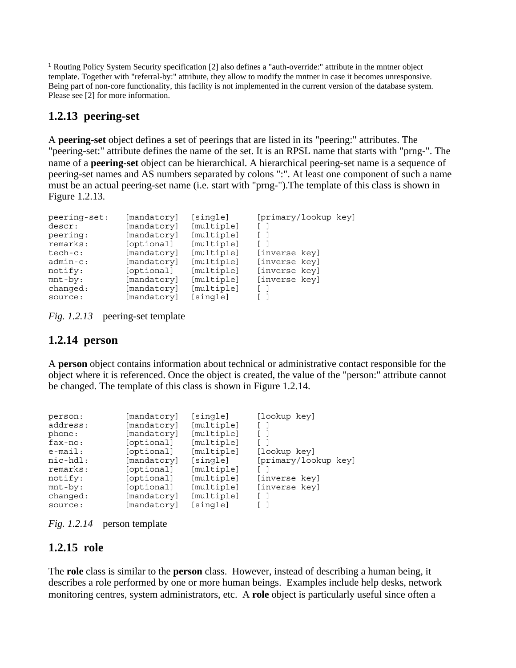<sup>1</sup> Routing Policy System Security specification [2] also defines a "auth-override:" attribute in the mntner object template. Together with "referral-by:" attribute, they allow to modify the mntner in case it becomes unresponsive. Being part of non-core functionality, this facility is not implemented in the current version of the database system. Please see [2] for more information.

### **1.2.13 peering-set**

A **peering-set** object defines a set of peerings that are listed in its "peering:" attributes. The "peering-set:" attribute defines the name of the set. It is an RPSL name that starts with "prng-". The name of a **peering-set** object can be hierarchical. A hierarchical peering-set name is a sequence of peering-set names and AS numbers separated by colons ":". At least one component of such a name must be an actual peering-set name (i.e. start with "prng-").The template of this class is shown in Figure 1.2.13.

| peering-set: | [mandatory] | [single]   | [primary/lookup key] |
|--------------|-------------|------------|----------------------|
| descr:       | [mandatory] | [multiple] |                      |
| peering:     | [mandatory] | [multiple] |                      |
| remarks:     | [optional]  | [multiple] |                      |
| $tech-c:$    | [mandatory] | [multiple] | [inverse key]        |
| $admin-c$ :  | [mandatory] | [multiple] | [inverse key]        |
| notify:      | [optional]  | [multiple] | [inverse key]        |
| $mnt-by:$    | [mandatory] | [multiple] | [inverse key]        |
| changed:     | [mandatory] | [multiple] |                      |
| source:      | [mandatory] | [single]   |                      |

*Fig. 1.2.13* peering-set template

### **1.2.14 person**

A **person** object contains information about technical or administrative contact responsible for the object where it is referenced. Once the object is created, the value of the "person:" attribute cannot be changed. The template of this class is shown in Figure 1.2.14.

| person:     | [mandatory] | [single]   | [lookup key]         |
|-------------|-------------|------------|----------------------|
| address:    | [mandatory] | [multiple] |                      |
| phone:      | [mandatory] | [multiple] |                      |
| $fax-no:$   | [optional]  | [multiple] |                      |
| $e$ -mail:  | [optional]  | [multiple] | [lookup key]         |
| $nic-hdl$ : | [mandatory] | [single]   | [primary/lookup key] |
| remarks:    | [optional]  | [multiple] |                      |
| notify:     | [optional]  | [multiple] | [inverse key]        |
| $mnt-by:$   | [optional]  | [multiple] | [inverse key]        |
| changed:    | [mandatory] | [multiple] |                      |
| source:     | [mandatory] | [single]   |                      |

*Fig. 1.2.14* person template

### **1.2.15 role**

The **role** class is similar to the **person** class. However, instead of describing a human being, it describes a role performed by one or more human beings. Examples include help desks, network monitoring centres, system administrators, etc. A **role** object is particularly useful since often a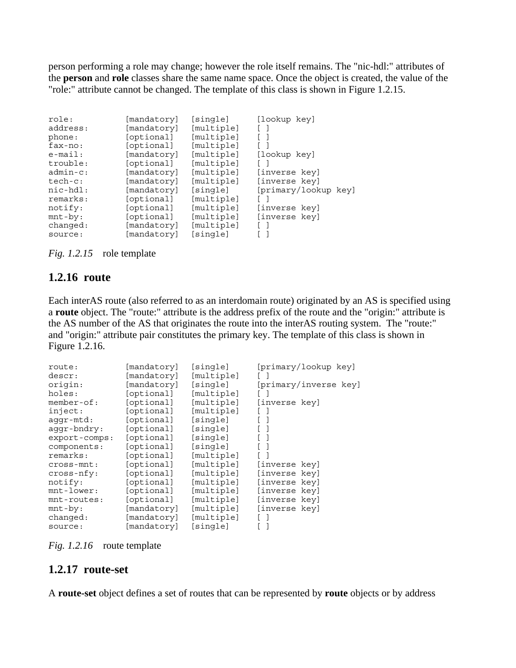person performing a role may change; however the role itself remains. The "nic-hdl:" attributes of the **person** and **role** classes share the same name space. Once the object is created, the value of the "role:" attribute cannot be changed. The template of this class is shown in Figure 1.2.15.

| role:       | [mandatory] | [single]   | [lookup key]         |
|-------------|-------------|------------|----------------------|
| address:    | [mandatory] | [multiple] |                      |
| phone:      | [optional]  | [multiple] |                      |
| fax-no:     | [optional]  | [multiple] |                      |
| $e$ -mail:  | [mandatory] | [multiple] | [lookup key]         |
| trouble:    | [optional]  | [multiple] |                      |
| $admin-c$ : | [mandatory] | [multiple] | [inverse key]        |
| $tech-c:$   | [mandatory] | [multiple] | [inverse key]        |
| nic-hdl:    | [mandatory] | [single]   | [primary/lookup key] |
| remarks:    | [optional]  | [multiple] |                      |
| notify:     | [optional]  | [multiple] | [inverse key]        |
| $mnt-by:$   | [optional]  | [multiple] | [inverse key]        |
| changed:    | [mandatory] | [multiple] |                      |
| source:     | [mandatory] | [single]   |                      |

*Fig. 1.2.15* role template

#### **1.2.16 route**

Each interAS route (also referred to as an interdomain route) originated by an AS is specified using a **route** object. The "route:" attribute is the address prefix of the route and the "origin:" attribute is the AS number of the AS that originates the route into the interAS routing system. The "route:" and "origin:" attribute pair constitutes the primary key. The template of this class is shown in Figure 1.2.16.

| route:        | [mandatory] | [sinqle]   | [primary/lookup key]  |
|---------------|-------------|------------|-----------------------|
| descr:        | [mandatory] | [multiple] |                       |
| origin:       | [mandatory] | [single]   | [primary/inverse key] |
| holes:        | [optional]  | [multiple] |                       |
| $member-of:$  | [optional]  | [multiple] | [inverse key]         |
| inject:       | [optional]  | [multiple] |                       |
| $aqqr-mtd$ :  | [optional]  | [sinqle]   |                       |
| aqqr-bndry:   | [optional]  | [single]   |                       |
| export-comps: | [optional]  | [single]   |                       |
| components:   | [optional]  | [single]   |                       |
| remarks:      | [optional]  | [multiple] |                       |
| $cross-mnt:$  | [optional]  | [multiple] | [inverse key]         |
| $cross-nfy:$  | [optional]  | [multiple] | [inverse key]         |
| notify:       | [optional]  | [multiple] | [inverse key]         |
| $mnt-lower:$  | [optional]  | [multiple] | [inverse key]         |
| mnt-routes:   | [optional]  | [multiple] | [inverse key]         |
| $mnt-by:$     | [mandatory] | [multiple] | [inverse key]         |
| changed:      | [mandatory] | [multiple] |                       |
| source:       | [mandatory] | [sinqle]   |                       |

*Fig. 1.2.16* route template

### **1.2.17 route-set**

A **route-set** object defines a set of routes that can be represented by **route** objects or by address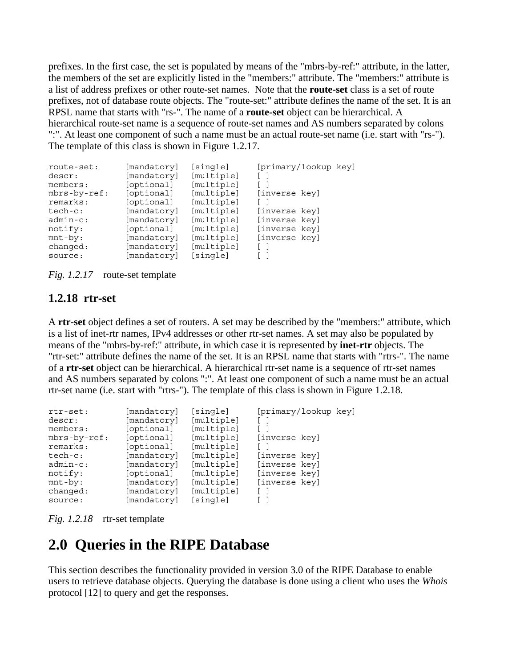prefixes. In the first case, the set is populated by means of the "mbrs-by-ref:" attribute, in the latter, the members of the set are explicitly listed in the "members:" attribute. The "members:" attribute is a list of address prefixes or other route-set names. Note that the **route-set** class is a set of route prefixes, not of database route objects. The "route-set:" attribute defines the name of the set. It is an RPSL name that starts with "rs-". The name of a **route-set** object can be hierarchical. A hierarchical route-set name is a sequence of route-set names and AS numbers separated by colons ":". At least one component of such a name must be an actual route-set name (i.e. start with "rs-"). The template of this class is shown in Figure 1.2.17.

| route-set:   | [mandatory] | [single]   | [primary/lookup key] |
|--------------|-------------|------------|----------------------|
| descr:       | [mandatory] | [multiple] |                      |
| members:     | [optional]  | [multiple] |                      |
| mbrs-by-ref: | [optional]  | [multiple] | [inverse key]        |
| remarks:     | [optional]  | [multiple] |                      |
| $tech-c:$    | [mandatory] | [multiple] | [inverse key]        |
| $admin-c$ :  | [mandatory] | [multiple] | [inverse key]        |
| notify:      | [optional]  | [multiple] | [inverse key]        |
| $mnt-by:$    | [mandatory] | [multiple] | [inverse key]        |
| changed:     | [mandatory] | [multiple] |                      |
| source:      | [mandatory] | [single]   |                      |

*Fig. 1.2.17* route-set template

### **1.2.18 rtr-set**

A **rtr-set** object defines a set of routers. A set may be described by the "members:" attribute, which is a list of inet-rtr names, IPv4 addresses or other rtr-set names. A set may also be populated by means of the "mbrs-by-ref:" attribute, in which case it is represented by **inet-rtr** objects. The "rtr-set:" attribute defines the name of the set. It is an RPSL name that starts with "rtrs-". The name of a **rtr-set** object can be hierarchical. A hierarchical rtr-set name is a sequence of rtr-set names and AS numbers separated by colons ":". At least one component of such a name must be an actual rtr-set name (i.e. start with "rtrs-"). The template of this class is shown in Figure 1.2.18.

| $rtr-set:$   | [mandatory] | [single]   | [primary/lookup key] |
|--------------|-------------|------------|----------------------|
| descr:       | [mandatory] | [multiple] |                      |
| members:     | [optional]  | [multiple] |                      |
| mbrs-by-ref: | [optional]  | [multiple] | [inverse key]        |
| remarks:     | [optional]  | [multiple] |                      |
| $tech-c:$    | [mandatory] | [multiple] | [inverse key]        |
| $admin-c$ :  | [mandatory] | [multiple] | [inverse key]        |
| notify:      | [optional]  | [multiple] | [inverse key]        |
| $mnt-by:$    | [mandatory] | [multiple] | [inverse key]        |
| changed:     | [mandatory] | [multiple] |                      |
| source:      | [mandatory] | [single]   |                      |

*Fig. 1.2.18* rtr-set template

# **2.0 Queries in the RIPE Database**

This section describes the functionality provided in version 3.0 of the RIPE Database to enable users to retrieve database objects. Querying the database is done using a client who uses the *Whois* protocol [12] to query and get the responses.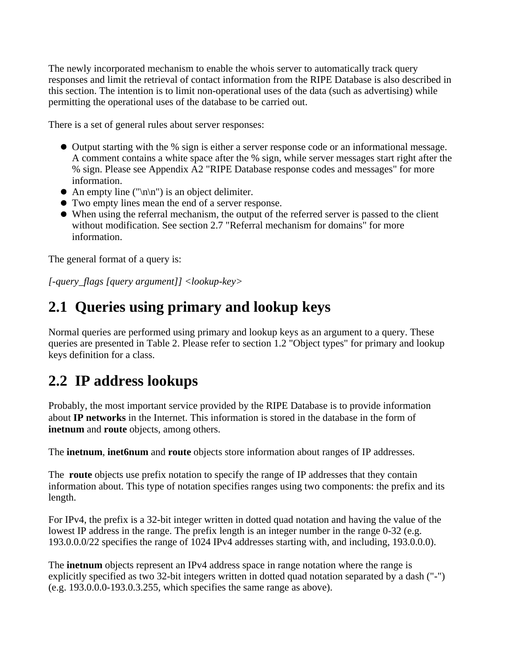The newly incorporated mechanism to enable the whois server to automatically track query responses and limit the retrieval of contact information from the RIPE Database is also described in this section. The intention is to limit non-operational uses of the data (such as advertising) while permitting the operational uses of the database to be carried out.

There is a set of general rules about server responses:

- Output starting with the % sign is either a server response code or an informational message. A comment contains a white space after the % sign, while server messages start right after the % sign. Please see Appendix A2 "RIPE Database response codes and messages" for more information.
- An empty line (" $\ln \ln$ ") is an object delimiter.
- Two empty lines mean the end of a server response.
- When using the referral mechanism, the output of the referred server is passed to the client without modification. See section 2.7 "Referral mechanism for domains" for more information.

The general format of a query is:

*[-query\_flags [query argument]] <lookup-key>*

# **2.1 Queries using primary and lookup keys**

Normal queries are performed using primary and lookup keys as an argument to a query. These queries are presented in Table 2. Please refer to section 1.2 "Object types" for primary and lookup keys definition for a class.

## **2.2 IP address lookups**

Probably, the most important service provided by the RIPE Database is to provide information about **IP networks** in the Internet. This information is stored in the database in the form of **inetnum** and **route** objects, among others.

The **inetnum**, **inet6num** and **route** objects store information about ranges of IP addresses.

The **route** objects use prefix notation to specify the range of IP addresses that they contain information about. This type of notation specifies ranges using two components: the prefix and its length.

For IPv4, the prefix is a 32-bit integer written in dotted quad notation and having the value of the lowest IP address in the range. The prefix length is an integer number in the range 0-32 (e.g. 193.0.0.0/22 specifies the range of 1024 IPv4 addresses starting with, and including, 193.0.0.0).

The **inetnum** objects represent an IPv4 address space in range notation where the range is explicitly specified as two 32-bit integers written in dotted quad notation separated by a dash ("-") (e.g. 193.0.0.0-193.0.3.255, which specifies the same range as above).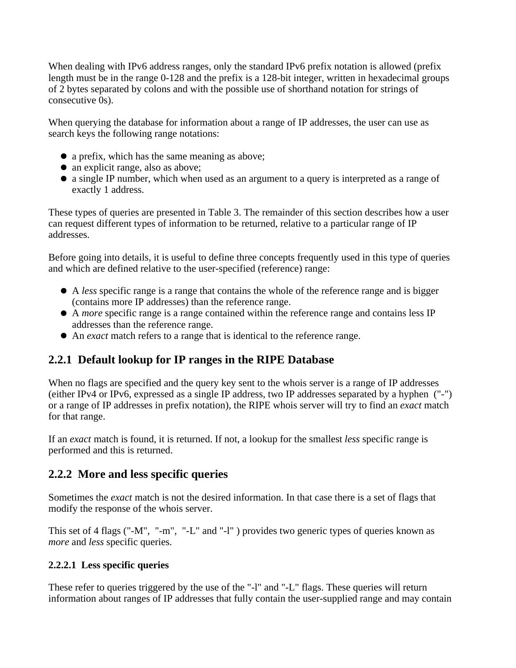When dealing with IPv6 address ranges, only the standard IPv6 prefix notation is allowed (prefix length must be in the range 0-128 and the prefix is a 128-bit integer, written in hexadecimal groups of 2 bytes separated by colons and with the possible use of shorthand notation for strings of consecutive 0s).

When querying the database for information about a range of IP addresses, the user can use as search keys the following range notations:

- a prefix, which has the same meaning as above;
- an explicit range, also as above;
- a single IP number, which when used as an argument to a query is interpreted as a range of exactly 1 address.

These types of queries are presented in Table 3. The remainder of this section describes how a user can request different types of information to be returned, relative to a particular range of IP addresses.

Before going into details, it is useful to define three concepts frequently used in this type of queries and which are defined relative to the user-specified (reference) range:

- A *less* specific range is a range that contains the whole of the reference range and is bigger (contains more IP addresses) than the reference range.
- A *more* specific range is a range contained within the reference range and contains less IP addresses than the reference range.
- An *exact* match refers to a range that is identical to the reference range.

## **2.2.1 Default lookup for IP ranges in the RIPE Database**

When no flags are specified and the query key sent to the whois server is a range of IP addresses (either IPv4 or IPv6, expressed as a single IP address, two IP addresses separated by a hyphen ("-") or a range of IP addresses in prefix notation), the RIPE whois server will try to find an *exact* match for that range.

If an *exact* match is found, it is returned. If not, a lookup for the smallest *less* specific range is performed and this is returned.

### **2.2.2 More and less specific queries**

Sometimes the *exact* match is not the desired information. In that case there is a set of flags that modify the response of the whois server.

This set of 4 flags ("-M", "-m", "-L" and "-l" ) provides two generic types of queries known as *more* and *less* specific queries.

### **2.2.2.1 Less specific queries**

These refer to queries triggered by the use of the "-l" and "-L" flags. These queries will return information about ranges of IP addresses that fully contain the user-supplied range and may contain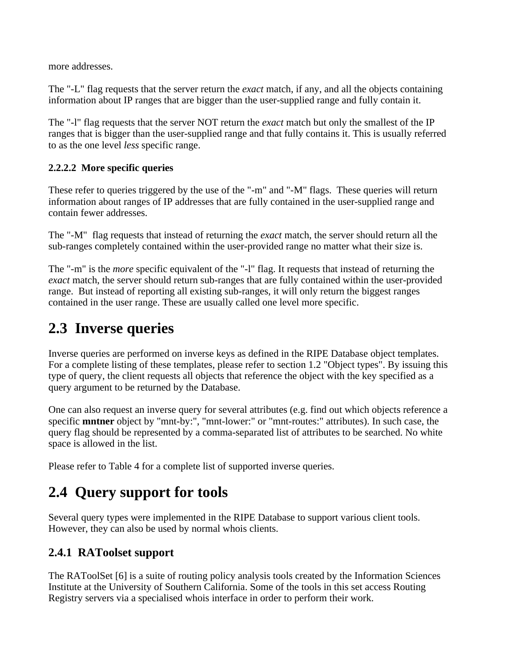more addresses.

The "-L" flag requests that the server return the *exact* match, if any, and all the objects containing information about IP ranges that are bigger than the user-supplied range and fully contain it.

The "-l" flag requests that the server NOT return the *exact* match but only the smallest of the IP ranges that is bigger than the user-supplied range and that fully contains it. This is usually referred to as the one level *less* specific range.

### **2.2.2.2 More specific queries**

These refer to queries triggered by the use of the "-m" and "-M" flags. These queries will return information about ranges of IP addresses that are fully contained in the user-supplied range and contain fewer addresses.

The "-M" flag requests that instead of returning the *exact* match, the server should return all the sub-ranges completely contained within the user-provided range no matter what their size is.

The "-m" is the *more* specific equivalent of the "-l" flag. It requests that instead of returning the *exact* match, the server should return sub-ranges that are fully contained within the user-provided range. But instead of reporting all existing sub-ranges, it will only return the biggest ranges contained in the user range. These are usually called one level more specific.

# **2.3 Inverse queries**

Inverse queries are performed on inverse keys as defined in the RIPE Database object templates. For a complete listing of these templates, please refer to section 1.2 "Object types". By issuing this type of query, the client requests all objects that reference the object with the key specified as a query argument to be returned by the Database.

One can also request an inverse query for several attributes (e.g. find out which objects reference a specific **mntner** object by "mnt-by:", "mnt-lower:" or "mnt-routes:" attributes). In such case, the query flag should be represented by a comma-separated list of attributes to be searched. No white space is allowed in the list.

Please refer to Table 4 for a complete list of supported inverse queries.

# **2.4 Query support for tools**

Several query types were implemented in the RIPE Database to support various client tools. However, they can also be used by normal whois clients.

## **2.4.1 RAToolset support**

The RAToolSet [6] is a suite of routing policy analysis tools created by the Information Sciences Institute at the University of Southern California. Some of the tools in this set access Routing Registry servers via a specialised whois interface in order to perform their work.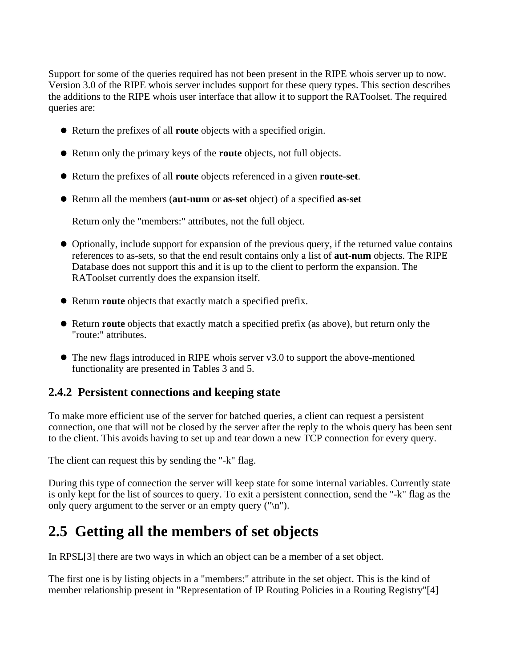Support for some of the queries required has not been present in the RIPE whois server up to now. Version 3.0 of the RIPE whois server includes support for these query types. This section describes the additions to the RIPE whois user interface that allow it to support the RAToolset. The required queries are:

- Return the prefixes of all **route** objects with a specified origin.
- Return only the primary keys of the **route** objects, not full objects.
- Return the prefixes of all **route** objects referenced in a given **route-set**.
- Return all the members (**aut-num** or **as-set** object) of a specified **as-set**

Return only the "members:" attributes, not the full object.

- Optionally, include support for expansion of the previous query, if the returned value contains references to as-sets, so that the end result contains only a list of **aut-num** objects. The RIPE Database does not support this and it is up to the client to perform the expansion. The RAToolset currently does the expansion itself.
- Return **route** objects that exactly match a specified prefix.
- Return **route** objects that exactly match a specified prefix (as above), but return only the "route:" attributes.
- The new flags introduced in RIPE whois server v3.0 to support the above-mentioned functionality are presented in Tables 3 and 5.

### **2.4.2 Persistent connections and keeping state**

To make more efficient use of the server for batched queries, a client can request a persistent connection, one that will not be closed by the server after the reply to the whois query has been sent to the client. This avoids having to set up and tear down a new TCP connection for every query.

The client can request this by sending the "-k" flag.

During this type of connection the server will keep state for some internal variables. Currently state is only kept for the list of sources to query. To exit a persistent connection, send the "-k" flag as the only query argument to the server or an empty query  $("n")$ .

# **2.5 Getting all the members of set objects**

In RPSL[3] there are two ways in which an object can be a member of a set object.

The first one is by listing objects in a "members:" attribute in the set object. This is the kind of member relationship present in "Representation of IP Routing Policies in a Routing Registry"[4]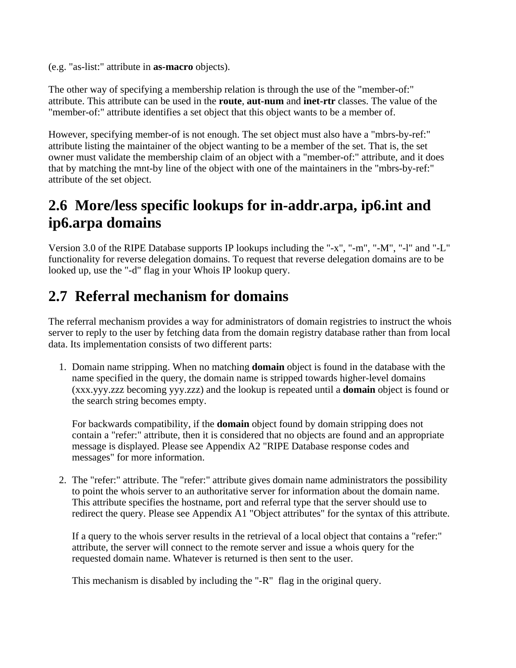(e.g. "as-list:" attribute in **as-macro** objects).

The other way of specifying a membership relation is through the use of the "member-of:" attribute. This attribute can be used in the **route**, **aut-num** and **inet-rtr** classes. The value of the "member-of:" attribute identifies a set object that this object wants to be a member of.

However, specifying member-of is not enough. The set object must also have a "mbrs-by-ref:" attribute listing the maintainer of the object wanting to be a member of the set. That is, the set owner must validate the membership claim of an object with a "member-of:" attribute, and it does that by matching the mnt-by line of the object with one of the maintainers in the "mbrs-by-ref:" attribute of the set object.

# **2.6 More/less specific lookups for in-addr.arpa, ip6.int and ip6.arpa domains**

Version 3.0 of the RIPE Database supports IP lookups including the "-x", "-m", "-M", "-l" and "-L" functionality for reverse delegation domains. To request that reverse delegation domains are to be looked up, use the "-d" flag in your Whois IP lookup query.

# **2.7 Referral mechanism for domains**

The referral mechanism provides a way for administrators of domain registries to instruct the whois server to reply to the user by fetching data from the domain registry database rather than from local data. Its implementation consists of two different parts:

1. Domain name stripping. When no matching **domain** object is found in the database with the name specified in the query, the domain name is stripped towards higher-level domains (xxx.yyy.zzz becoming yyy.zzz) and the lookup is repeated until a **domain** object is found or the search string becomes empty.

For backwards compatibility, if the **domain** object found by domain stripping does not contain a "refer:" attribute, then it is considered that no objects are found and an appropriate message is displayed. Please see Appendix A2 "RIPE Database response codes and messages" for more information.

2. The "refer:" attribute. The "refer:" attribute gives domain name administrators the possibility to point the whois server to an authoritative server for information about the domain name. This attribute specifies the hostname, port and referral type that the server should use to redirect the query. Please see Appendix A1 "Object attributes" for the syntax of this attribute.

If a query to the whois server results in the retrieval of a local object that contains a "refer:" attribute, the server will connect to the remote server and issue a whois query for the requested domain name. Whatever is returned is then sent to the user.

This mechanism is disabled by including the "-R" flag in the original query.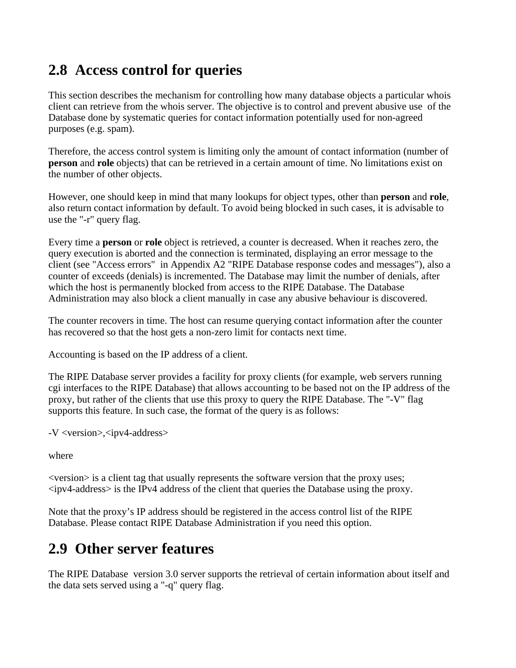# **2.8 Access control for queries**

This section describes the mechanism for controlling how many database objects a particular whois client can retrieve from the whois server. The objective is to control and prevent abusive use of the Database done by systematic queries for contact information potentially used for non-agreed purposes (e.g. spam).

Therefore, the access control system is limiting only the amount of contact information (number of **person** and **role** objects) that can be retrieved in a certain amount of time. No limitations exist on the number of other objects.

However, one should keep in mind that many lookups for object types, other than **person** and **role**, also return contact information by default. To avoid being blocked in such cases, it is advisable to use the "-r" query flag.

Every time a **person** or **role** object is retrieved, a counter is decreased. When it reaches zero, the query execution is aborted and the connection is terminated, displaying an error message to the client (see "Access errors" in Appendix A2 "RIPE Database response codes and messages"), also a counter of exceeds (denials) is incremented. The Database may limit the number of denials, after which the host is permanently blocked from access to the RIPE Database. The Database Administration may also block a client manually in case any abusive behaviour is discovered.

The counter recovers in time. The host can resume querying contact information after the counter has recovered so that the host gets a non-zero limit for contacts next time.

Accounting is based on the IP address of a client.

The RIPE Database server provides a facility for proxy clients (for example, web servers running cgi interfaces to the RIPE Database) that allows accounting to be based not on the IP address of the proxy, but rather of the clients that use this proxy to query the RIPE Database. The "-V" flag supports this feature. In such case, the format of the query is as follows:

-V <version>,<ipv4-address>

where

<version> is a client tag that usually represents the software version that the proxy uses;  $\langle$ ipv4-address $>$  is the IPv4 address of the client that queries the Database using the proxy.

Note that the proxy's IP address should be registered in the access control list of the RIPE Database. Please contact RIPE Database Administration if you need this option.

# **2.9 Other server features**

The RIPE Database version 3.0 server supports the retrieval of certain information about itself and the data sets served using a "-q" query flag.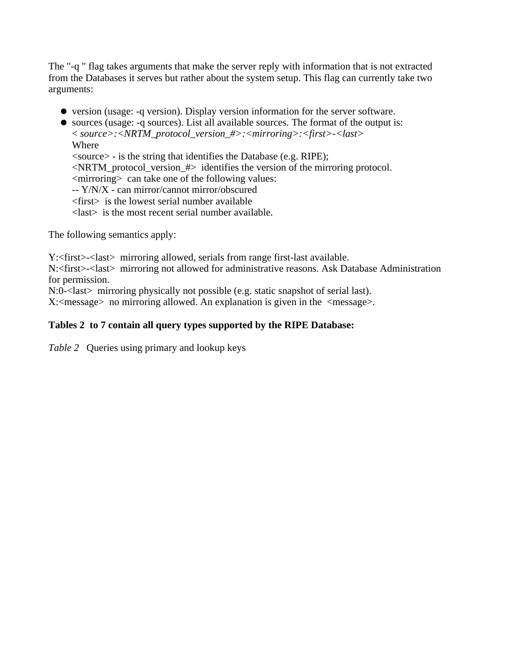The "-q " flag takes arguments that make the server reply with information that is not extracted from the Databases it serves but rather about the system setup. This flag can currently take two arguments:

version (usage: -q version). Display version information for the server software.

sources (usage: -q sources). List all available sources. The format of the output is: < *source>:<NRTM\_protocol\_version\_#>:<mirroring>:<first>-<last>* 

Where <source> - is the string that identifies the Database (e.g. RIPE);  $\leq$ NRTM protocol version  $\#$  identifies the version of the mirroring protocol. <mirroring> can take one of the following values: -- Y/N/X - can mirror/cannot mirror/obscured <first> is the lowest serial number available <last> is the most recent serial number available.

The following semantics apply:

Y:<first>-<last> mirroring allowed, serials from range first-last available.

N:<first>-<last> mirroring not allowed for administrative reasons. Ask Database Administration for permission.

N:0-<last> mirroring physically not possible (e.g. static snapshot of serial last).

 $X: \langle \text{message} \rangle$  no mirroring allowed. An explanation is given in the  $\langle \text{message} \rangle$ .

### **Tables 2 to 7 contain all query types supported by the RIPE Database:**

*Table 2* Queries using primary and lookup keys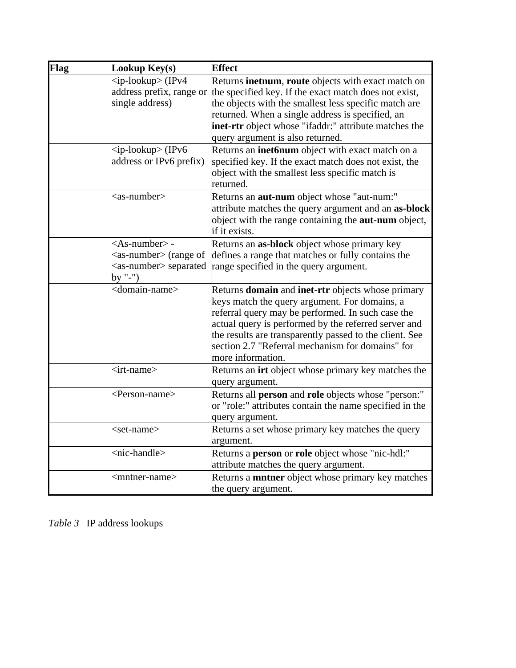| Flag | Lookup Key(s)                                                                                                   | <b>Effect</b>                                                                                                                                                                                                                                                                                                                                       |
|------|-----------------------------------------------------------------------------------------------------------------|-----------------------------------------------------------------------------------------------------------------------------------------------------------------------------------------------------------------------------------------------------------------------------------------------------------------------------------------------------|
|      | $kip-loc  IPv4 $<br>address prefix, range or<br>single address)                                                 | Returns inetnum, route objects with exact match on<br>the specified key. If the exact match does not exist,<br>the objects with the smallest less specific match are<br>returned. When a single address is specified, an<br>inet-rtr object whose "ifaddr:" attribute matches the<br>query argument is also returned.                               |
|      | $kip\text{-}$ lookup> (IPv6<br>address or IPv6 prefix)                                                          | Returns an inet6num object with exact match on a<br>specified key. If the exact match does not exist, the<br>object with the smallest less specific match is<br>lreturned.                                                                                                                                                                          |
|      | $as-number$                                                                                                     | Returns an <b>aut-num</b> object whose "aut-num:"<br>attribute matches the query argument and an as-block<br>object with the range containing the <b>aut-num</b> object,<br>if it exists.                                                                                                                                                           |
|      | $<$ As-number $>$ -<br>$\langle$ as-number $\rangle$ (range of<br><as-number> separated<br/>by "-")</as-number> | Returns an as-block object whose primary key<br>defines a range that matches or fully contains the<br>range specified in the query argument.                                                                                                                                                                                                        |
|      | <domain-name></domain-name>                                                                                     | Returns domain and inet-rtr objects whose primary<br>keys match the query argument. For domains, a<br>referral query may be performed. In such case the<br>actual query is performed by the referred server and<br>the results are transparently passed to the client. See<br>section 2.7 "Referral mechanism for domains" for<br>more information. |
|      | <irt-name></irt-name>                                                                                           | Returns an irt object whose primary key matches the<br>query argument.                                                                                                                                                                                                                                                                              |
|      | <person-name></person-name>                                                                                     | Returns all person and role objects whose "person:"<br>or "role:" attributes contain the name specified in the<br>query argument.                                                                                                                                                                                                                   |
|      | <set-name></set-name>                                                                                           | Returns a set whose primary key matches the query<br>argument.                                                                                                                                                                                                                                                                                      |
|      | <nic-handle></nic-handle>                                                                                       | Returns a person or role object whose "nic-hdl:"<br>attribute matches the query argument.                                                                                                                                                                                                                                                           |
|      | <mntner-name></mntner-name>                                                                                     | Returns a <b>mntner</b> object whose primary key matches<br>the query argument.                                                                                                                                                                                                                                                                     |

*Table 3* IP address lookups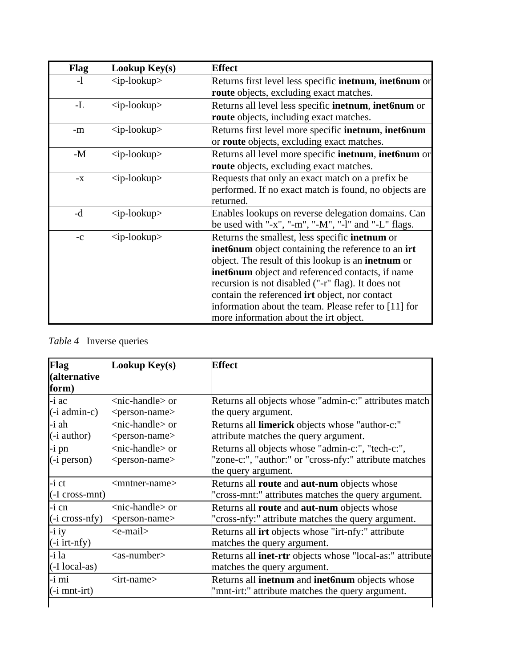| <b>Flag</b> | Lookup Key(s)                 | <b>Effect</b>                                                         |
|-------------|-------------------------------|-----------------------------------------------------------------------|
| $-1$        | $\langle$ ip-lookup>          | Returns first level less specific <b>inetnum</b> , <b>inet6num</b> or |
|             |                               | <b>route</b> objects, excluding exact matches.                        |
| -L          | $<$ ip-lookup $>$             | Returns all level less specific <b>inetnum</b> , <b>inet6num</b> or   |
|             |                               | <b>route</b> objects, including exact matches.                        |
| -m          | $\langle$ ip-lookup>          | Returns first level more specific inetnum, inet6num                   |
|             |                               | or <b>route</b> objects, excluding exact matches.                     |
| $-M$        | $\langle$ ip-lookup>          | Returns all level more specific inetnum, inet6num or                  |
|             |                               | route objects, excluding exact matches.                               |
| $-X$        | $\langle$ ip-lookup $\rangle$ | Requests that only an exact match on a prefix be                      |
|             |                               | performed. If no exact match is found, no objects are                 |
|             |                               | lreturned.                                                            |
| -d          | <ip-lookup></ip-lookup>       | Enables lookups on reverse delegation domains. Can                    |
|             |                               | be used with "-x", "-m", "-M", "-l" and "-L" flags.                   |
| $-c$        | <ip-lookup></ip-lookup>       | Returns the smallest, less specific <b>inetnum</b> or                 |
|             |                               | <b>inet6num</b> object containing the reference to an <b>irt</b>      |
|             |                               | object. The result of this lookup is an <b>inetnum</b> or             |
|             |                               | inet6num object and referenced contacts, if name                      |
|             |                               | recursion is not disabled ("-r" flag). It does not                    |
|             |                               | contain the referenced <b>irt</b> object, nor contact                 |
|             |                               | information about the team. Please refer to [11] for                  |
|             |                               | more information about the irt object.                                |

## *Table 4* Inverse queries

| Flag                            | Lookup Key(s)                | <b>Effect</b>                                                   |
|---------------------------------|------------------------------|-----------------------------------------------------------------|
| (alternative                    |                              |                                                                 |
| form)                           |                              |                                                                 |
| $-i$ ac                         | $<$ nic-handle $>$ or        | Returns all objects whose "admin-c:" attributes match           |
| $(i$ admin-c)                   | <person-name></person-name>  | the query argument.                                             |
| -i ah                           | $<$ nic-handle $>$ or        | Returns all limerick objects whose "author-c:"                  |
| (- <i>i</i> author)             | <person-name></person-name>  | attribute matches the query argument.                           |
| $-i$ pn                         | $<$ nic-handle $>$ or        | Returns all objects whose "admin-c:", "tech-c:",                |
| $(i)$ person)                   | <person-name></person-name>  | "zone-c:", "author:" or "cross-nfy:" attribute matches          |
|                                 |                              | the query argument.                                             |
| $-i$ ct                         | $\leq$ mntner-name $>$       | Returns all route and aut-num objects whose                     |
| (-I cross-mnt)                  |                              | "cross-mnt:" attributes matches the query argument.             |
| $-i$ cn                         | $<$ nic-handle $>$ or        | Returns all route and aut-num objects whose                     |
| $(i \text{ cross-} \text{nfy})$ | <person-name></person-name>  | "cross-nfy:" attribute matches the query argument.              |
| $-$ i iy                        | <e-mail></e-mail>            | Returns all <b>irt</b> objects whose "irt-nfy:" attribute       |
| $(i$ irt-nfy)                   |                              | matches the query argument.                                     |
| -i la                           | $<$ as-number $>$            | Returns all <b>inet-rtr</b> objects whose "local-as:" attribute |
| (-I local-as)                   |                              | matches the query argument.                                     |
| -i mi                           | $\langle$ irt-name $\rangle$ | Returns all inetnum and inet6num objects whose                  |
| $(i$ mnt-irt)                   |                              | "mnt-irt:" attribute matches the query argument.                |
|                                 |                              |                                                                 |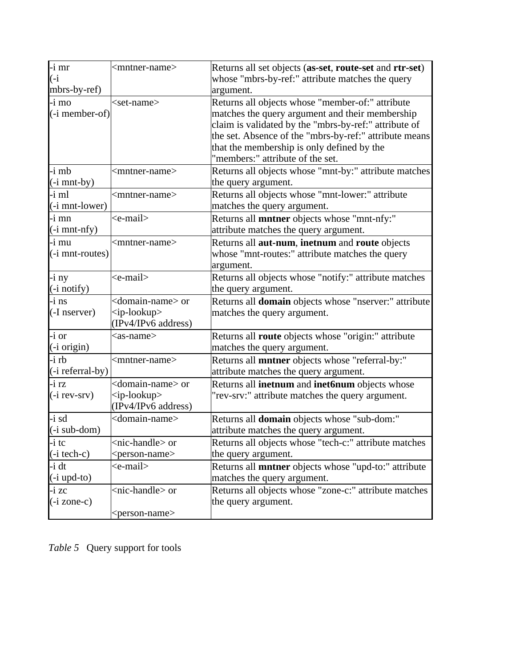| $-i$ mr                           | <mntner-name></mntner-name>    | Returns all set objects (as-set, route-set and rtr-set)     |
|-----------------------------------|--------------------------------|-------------------------------------------------------------|
| $(-i)$                            |                                | whose "mbrs-by-ref:" attribute matches the query            |
| mbrs-by-ref)                      |                                | argument.                                                   |
| $-i$ mo                           | $<$ set-name $>$               | Returns all objects whose "member-of:" attribute            |
| $(\text{-}i$ member-of)           |                                | matches the query argument and their membership             |
|                                   |                                | claim is validated by the "mbrs-by-ref:" attribute of       |
|                                   |                                | the set. Absence of the "mbrs-by-ref:" attribute means      |
|                                   |                                | that the membership is only defined by the                  |
|                                   |                                | 'members:" attribute of the set.                            |
| $-i$ mb                           | <mntner-name></mntner-name>    | Returns all objects whose "mnt-by:" attribute matches       |
| $(i$ mnt-by)                      |                                | the query argument.                                         |
| -i ml                             | <mntner-name></mntner-name>    | Returns all objects whose "mnt-lower:" attribute            |
| $(i$ mnt-lower)                   |                                | matches the query argument.                                 |
| $-i$ mn                           | <e-mail></e-mail>              | Returns all <b>mntner</b> objects whose "mnt-nfy:"          |
| $(i$ mnt-nfy)                     |                                | attribute matches the query argument.                       |
| $-i$ mu                           | <mntner-name></mntner-name>    | Returns all aut-num, inetnum and route objects              |
| $(i$ mnt-routes)                  |                                | whose "mnt-routes:" attribute matches the query             |
|                                   |                                | argument.                                                   |
| $-$ i ny                          | <e-mail></e-mail>              | Returns all objects whose "notify:" attribute matches       |
| $(i$ notify)                      |                                | the query argument.                                         |
| $-i$ ns                           | <domain-name> or</domain-name> | Returns all domain objects whose "nserver:" attribute       |
| $($ -I nserver $)$                | $\langle$ ip-lookup>           | matches the query argument.                                 |
|                                   | (IPv4/IPv6 address)            |                                                             |
| $-i$ or                           | $as-name$                      | Returns all route objects whose "origin:" attribute         |
| $(i \text{ origin})$              |                                | matches the query argument.                                 |
| $-$ i rb                          | <mntner-name></mntner-name>    | Returns all mntner objects whose "referral-by:"             |
| $(\text{-}i \text{ referral-by})$ |                                | attribute matches the query argument.                       |
| $-i$ rz                           | <domain-name> or</domain-name> | Returns all inetnum and inet6num objects whose              |
| $(i$ rev-srv $)$                  | $\langle$ ip-lookup>           | "rev-srv:" attribute matches the query argument.            |
|                                   | (IPv4/IPv6 address)            |                                                             |
| $-i$ sd                           | <domain-name></domain-name>    | Returns all domain objects whose "sub-dom:"                 |
| $(i$ sub-dom)                     |                                | attribute matches the query argument.                       |
| $\mathsf{I}$ i tc                 | <nic-handle> or</nic-handle>   | Returns all objects whose "tech-c:" attribute matches       |
| $(\text{-}i \text{tech-c})$       | <person-name></person-name>    | the query argument.                                         |
| $-i$ dt                           | <e-mail></e-mail>              | Returns all <b>mntner</b> objects whose "upd-to:" attribute |
| $(i$ upd-to)                      |                                | matches the query argument.                                 |
| $-i$ zc                           | <nic-handle> or</nic-handle>   | Returns all objects whose "zone-c:" attribute matches       |
| $(i \text{ zone-c})$              |                                | the query argument.                                         |
|                                   | <person-name></person-name>    |                                                             |

*Table 5* Query support for tools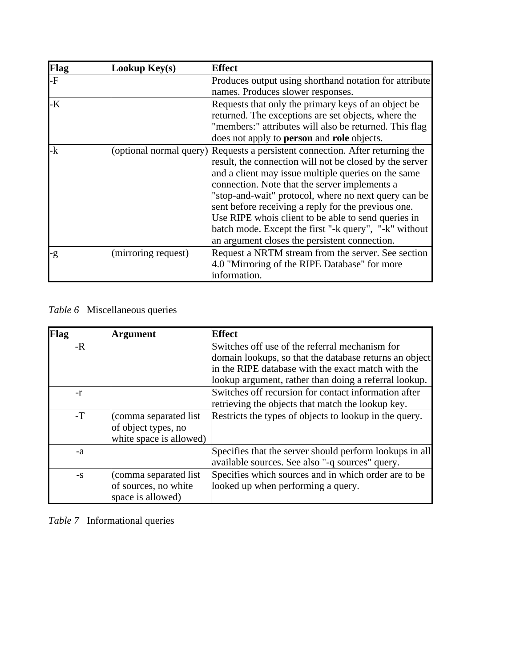| Flag | Lookup $Key(s)$     | <b>Effect</b>                                                                                                                                                                                                                                                                                                                                                                                                                                                                                                                    |
|------|---------------------|----------------------------------------------------------------------------------------------------------------------------------------------------------------------------------------------------------------------------------------------------------------------------------------------------------------------------------------------------------------------------------------------------------------------------------------------------------------------------------------------------------------------------------|
| -F   |                     | Produces output using shorthand notation for attribute<br>names. Produces slower responses.                                                                                                                                                                                                                                                                                                                                                                                                                                      |
| -K   |                     | Requests that only the primary keys of an object be<br>returned. The exceptions are set objects, where the<br>"members:" attributes will also be returned. This flag<br>does not apply to <b>person</b> and <b>role</b> objects.                                                                                                                                                                                                                                                                                                 |
| -k   |                     | (optional normal query) Requests a persistent connection. After returning the<br>result, the connection will not be closed by the server<br>and a client may issue multiple queries on the same<br>connection. Note that the server implements a<br>"stop-and-wait" protocol, where no next query can be<br>sent before receiving a reply for the previous one.<br>Use RIPE whois client to be able to send queries in<br>batch mode. Except the first "-k query", "-k" without<br>an argument closes the persistent connection. |
| -g   | (mirroring request) | Request a NRTM stream from the server. See section<br>4.0 "Mirroring of the RIPE Database" for more<br>information.                                                                                                                                                                                                                                                                                                                                                                                                              |

*Table 6* Miscellaneous queries

| Flag | <b>Argument</b>         | <b>Effect</b>                                           |
|------|-------------------------|---------------------------------------------------------|
| $-R$ |                         | Switches off use of the referral mechanism for          |
|      |                         | domain lookups, so that the database returns an object  |
|      |                         | in the RIPE database with the exact match with the      |
|      |                         | lookup argument, rather than doing a referral lookup.   |
| $-r$ |                         | Switches off recursion for contact information after    |
|      |                         | retrieving the objects that match the lookup key.       |
| $-T$ | (comma separated list)  | Restricts the types of objects to lookup in the query.  |
|      | of object types, no     |                                                         |
|      | white space is allowed) |                                                         |
| -a   |                         | Specifies that the server should perform lookups in all |
|      |                         | available sources. See also "-q sources" query.         |
| $-S$ | (comma separated list)  | Specifies which sources and in which order are to be    |
|      | of sources, no white    | looked up when performing a query.                      |
|      | space is allowed)       |                                                         |

*Table 7* Informational queries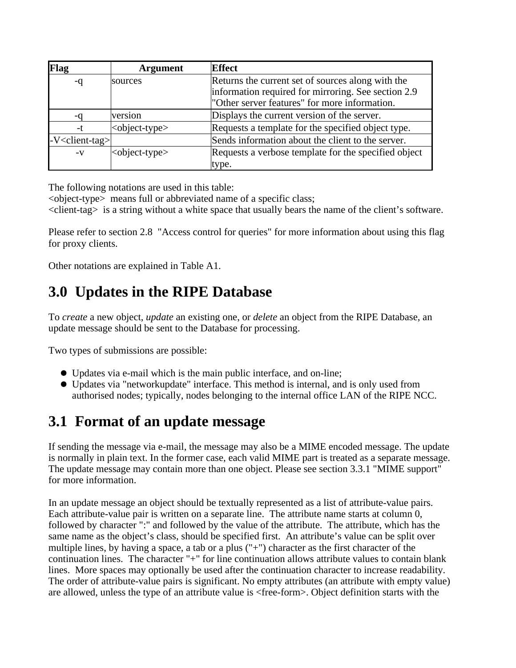| Flag                         | <b>Argument</b>             | <b>Effect</b>                                        |
|------------------------------|-----------------------------|------------------------------------------------------|
|                              | sources                     | Returns the current set of sources along with the    |
|                              |                             | information required for mirroring. See section 2.9  |
|                              |                             | "Other server features" for more information.        |
| -a                           | version                     | Displays the current version of the server.          |
| -t                           | <object-type></object-type> | Requests a template for the specified object type.   |
| -V <client-tag></client-tag> |                             | Sends information about the client to the server.    |
| $-V$                         | <object-type></object-type> | Requests a verbose template for the specified object |
|                              |                             | type.                                                |

The following notations are used in this table:

<object-type> means full or abbreviated name of a specific class;

<client-tag> is a string without a white space that usually bears the name of the client's software.

Please refer to section 2.8 "Access control for queries" for more information about using this flag for proxy clients.

Other notations are explained in Table A1.

# **3.0 Updates in the RIPE Database**

To *create* a new object, *update* an existing one, or *delete* an object from the RIPE Database, an update message should be sent to the Database for processing.

Two types of submissions are possible:

- Updates via e-mail which is the main public interface, and on-line;
- Updates via "networkupdate" interface. This method is internal, and is only used from authorised nodes; typically, nodes belonging to the internal office LAN of the RIPE NCC.

# **3.1 Format of an update message**

If sending the message via e-mail, the message may also be a MIME encoded message. The update is normally in plain text. In the former case, each valid MIME part is treated as a separate message. The update message may contain more than one object. Please see section 3.3.1 "MIME support" for more information.

In an update message an object should be textually represented as a list of attribute-value pairs. Each attribute-value pair is written on a separate line. The attribute name starts at column 0, followed by character ":" and followed by the value of the attribute. The attribute, which has the same name as the object's class, should be specified first. An attribute's value can be split over multiple lines, by having a space, a tab or a plus ("+") character as the first character of the continuation lines. The character "+" for line continuation allows attribute values to contain blank lines. More spaces may optionally be used after the continuation character to increase readability. The order of attribute-value pairs is significant. No empty attributes (an attribute with empty value) are allowed, unless the type of an attribute value is <free-form>. Object definition starts with the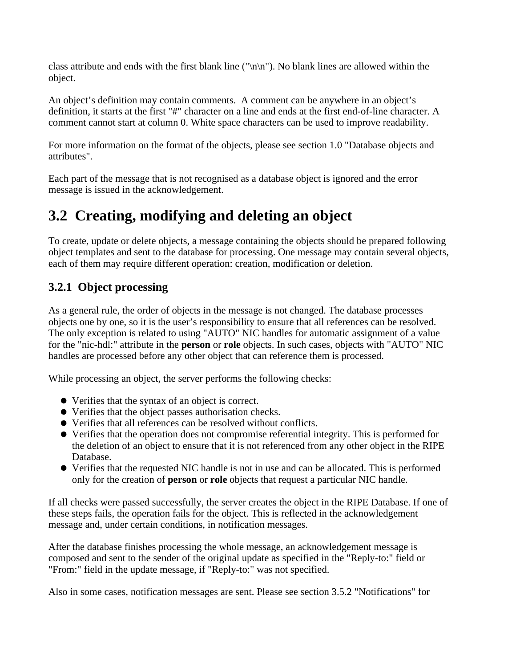class attribute and ends with the first blank line ("\n\n"). No blank lines are allowed within the object.

An object's definition may contain comments. A comment can be anywhere in an object's definition, it starts at the first "#" character on a line and ends at the first end-of-line character. A comment cannot start at column 0. White space characters can be used to improve readability.

For more information on the format of the objects, please see section 1.0 "Database objects and attributes".

Each part of the message that is not recognised as a database object is ignored and the error message is issued in the acknowledgement.

# **3.2 Creating, modifying and deleting an object**

To create, update or delete objects, a message containing the objects should be prepared following object templates and sent to the database for processing. One message may contain several objects, each of them may require different operation: creation, modification or deletion.

## **3.2.1 Object processing**

As a general rule, the order of objects in the message is not changed. The database processes objects one by one, so it is the user's responsibility to ensure that all references can be resolved. The only exception is related to using "AUTO" NIC handles for automatic assignment of a value for the "nic-hdl:" attribute in the **person** or **role** objects. In such cases, objects with "AUTO" NIC handles are processed before any other object that can reference them is processed.

While processing an object, the server performs the following checks:

- Verifies that the syntax of an object is correct.
- Verifies that the object passes authorisation checks.
- Verifies that all references can be resolved without conflicts.
- Verifies that the operation does not compromise referential integrity. This is performed for the deletion of an object to ensure that it is not referenced from any other object in the RIPE Database.
- Verifies that the requested NIC handle is not in use and can be allocated. This is performed only for the creation of **person** or **role** objects that request a particular NIC handle.

If all checks were passed successfully, the server creates the object in the RIPE Database. If one of these steps fails, the operation fails for the object. This is reflected in the acknowledgement message and, under certain conditions, in notification messages.

After the database finishes processing the whole message, an acknowledgement message is composed and sent to the sender of the original update as specified in the "Reply-to:" field or "From:" field in the update message, if "Reply-to:" was not specified.

Also in some cases, notification messages are sent. Please see section 3.5.2 "Notifications" for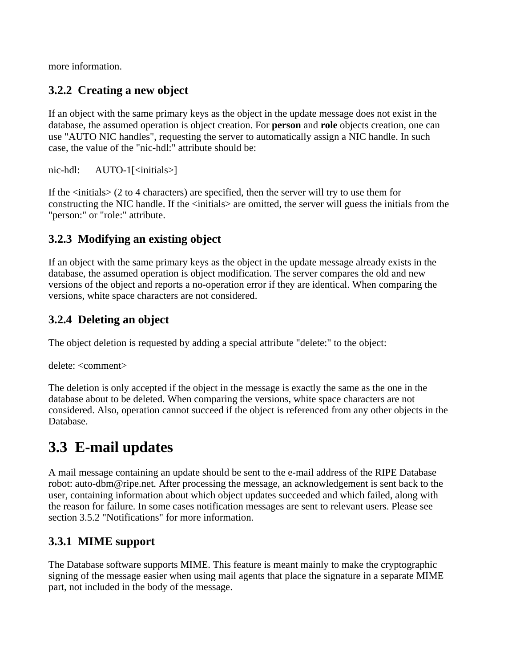more information.

## **3.2.2 Creating a new object**

If an object with the same primary keys as the object in the update message does not exist in the database, the assumed operation is object creation. For **person** and **role** objects creation, one can use "AUTO NIC handles", requesting the server to automatically assign a NIC handle. In such case, the value of the "nic-hdl:" attribute should be:

nic-hdl: AUTO-1[<initials>]

If the  $\langle$ initials $\rangle$  (2 to 4 characters) are specified, then the server will try to use them for constructing the NIC handle. If the <initials> are omitted, the server will guess the initials from the "person:" or "role:" attribute.

## **3.2.3 Modifying an existing object**

If an object with the same primary keys as the object in the update message already exists in the database, the assumed operation is object modification. The server compares the old and new versions of the object and reports a no-operation error if they are identical. When comparing the versions, white space characters are not considered.

## **3.2.4 Deleting an object**

The object deletion is requested by adding a special attribute "delete:" to the object:

delete: <comment>

The deletion is only accepted if the object in the message is exactly the same as the one in the database about to be deleted. When comparing the versions, white space characters are not considered. Also, operation cannot succeed if the object is referenced from any other objects in the Database.

# **3.3 E-mail updates**

A mail message containing an update should be sent to the e-mail address of the RIPE Database robot: auto-dbm@ripe.net. After processing the message, an acknowledgement is sent back to the user, containing information about which object updates succeeded and which failed, along with the reason for failure. In some cases notification messages are sent to relevant users. Please see section 3.5.2 "Notifications" for more information.

## **3.3.1 MIME support**

The Database software supports MIME. This feature is meant mainly to make the cryptographic signing of the message easier when using mail agents that place the signature in a separate MIME part, not included in the body of the message.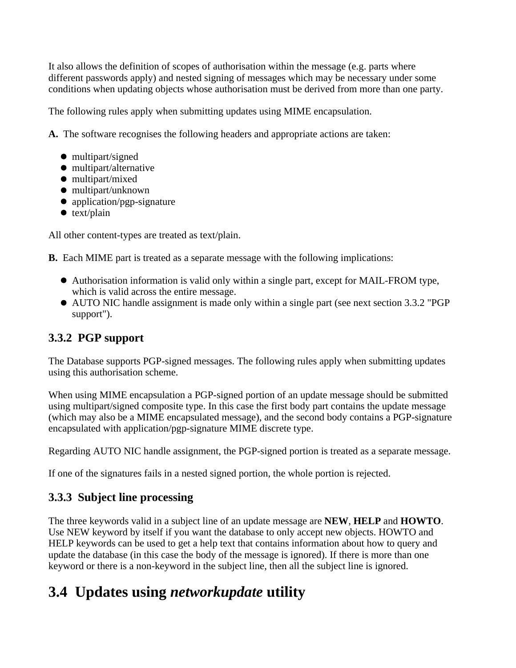It also allows the definition of scopes of authorisation within the message (e.g. parts where different passwords apply) and nested signing of messages which may be necessary under some conditions when updating objects whose authorisation must be derived from more than one party.

The following rules apply when submitting updates using MIME encapsulation.

**A.** The software recognises the following headers and appropriate actions are taken:

- multipart/signed
- multipart/alternative
- multipart/mixed
- multipart/unknown
- application/pgp-signature
- $\bullet$  text/plain

All other content-types are treated as text/plain.

**B.** Each MIME part is treated as a separate message with the following implications:

- Authorisation information is valid only within a single part, except for MAIL-FROM type, which is valid across the entire message.
- AUTO NIC handle assignment is made only within a single part (see next section 3.3.2 "PGP support").

## **3.3.2 PGP support**

The Database supports PGP-signed messages. The following rules apply when submitting updates using this authorisation scheme.

When using MIME encapsulation a PGP-signed portion of an update message should be submitted using multipart/signed composite type. In this case the first body part contains the update message (which may also be a MIME encapsulated message), and the second body contains a PGP-signature encapsulated with application/pgp-signature MIME discrete type.

Regarding AUTO NIC handle assignment, the PGP-signed portion is treated as a separate message.

If one of the signatures fails in a nested signed portion, the whole portion is rejected.

## **3.3.3 Subject line processing**

The three keywords valid in a subject line of an update message are **NEW**, **HELP** and **HOWTO**. Use NEW keyword by itself if you want the database to only accept new objects. HOWTO and HELP keywords can be used to get a help text that contains information about how to query and update the database (in this case the body of the message is ignored). If there is more than one keyword or there is a non-keyword in the subject line, then all the subject line is ignored.

# **3.4 Updates using** *networkupdate* **utility**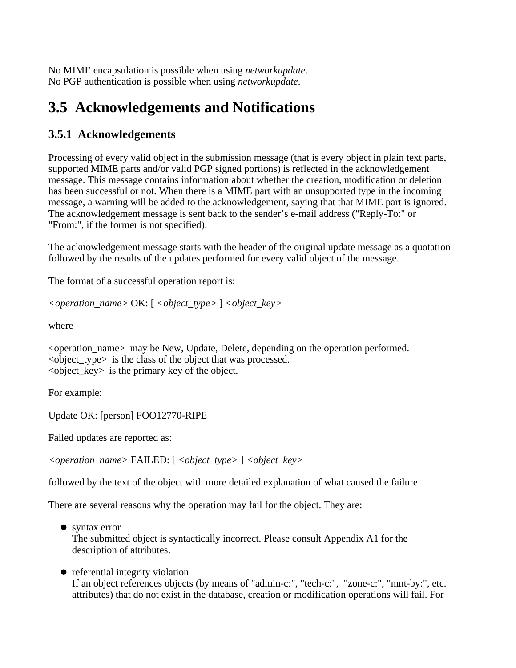No MIME encapsulation is possible when using *networkupdate*. No PGP authentication is possible when using *networkupdate*.

# **3.5 Acknowledgements and Notifications**

## **3.5.1 Acknowledgements**

Processing of every valid object in the submission message (that is every object in plain text parts, supported MIME parts and/or valid PGP signed portions) is reflected in the acknowledgement message. This message contains information about whether the creation, modification or deletion has been successful or not. When there is a MIME part with an unsupported type in the incoming message, a warning will be added to the acknowledgement, saying that that MIME part is ignored. The acknowledgement message is sent back to the sender's e-mail address ("Reply-To:" or "From:", if the former is not specified).

The acknowledgement message starts with the header of the original update message as a quotation followed by the results of the updates performed for every valid object of the message.

The format of a successful operation report is:

*<operation\_name>* OK: [ *<object\_type>* ] *<object\_key>* 

where

<operation\_name> may be New, Update, Delete, depending on the operation performed. <object\_type> is the class of the object that was processed.  $\leq$  object key $>$  is the primary key of the object.

For example:

Update OK: [person] FOO12770-RIPE

Failed updates are reported as:

*<operation\_name>* FAILED: [ *<object\_type>* ] *<object\_key>* 

followed by the text of the object with more detailed explanation of what caused the failure.

There are several reasons why the operation may fail for the object. They are:

- syntax error The submitted object is syntactically incorrect. Please consult Appendix A1 for the description of attributes.
- referential integrity violation If an object references objects (by means of "admin-c:", "tech-c:", "zone-c:", "mnt-by:", etc. attributes) that do not exist in the database, creation or modification operations will fail. For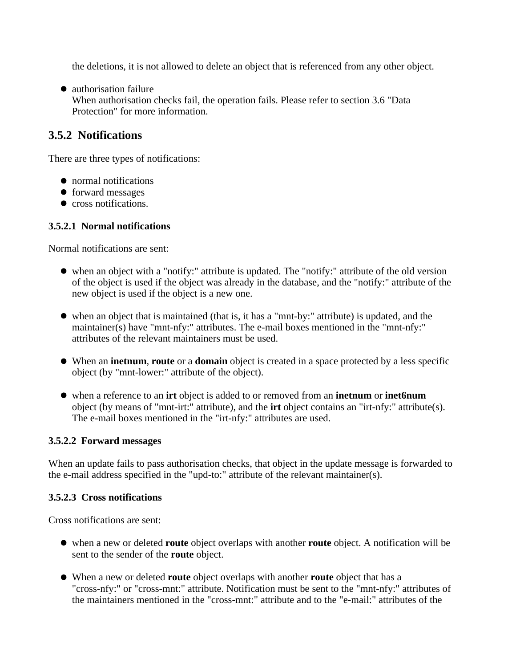the deletions, it is not allowed to delete an object that is referenced from any other object.

• authorisation failure When authorisation checks fail, the operation fails. Please refer to section 3.6 "Data Protection" for more information.

### **3.5.2 Notifications**

There are three types of notifications:

- normal notifications
- forward messages
- cross notifications.

#### **3.5.2.1 Normal notifications**

Normal notifications are sent:

- when an object with a "notify:" attribute is updated. The "notify:" attribute of the old version of the object is used if the object was already in the database, and the "notify:" attribute of the new object is used if the object is a new one.
- when an object that is maintained (that is, it has a "mnt-by:" attribute) is updated, and the maintainer(s) have "mnt-nfy:" attributes. The e-mail boxes mentioned in the "mnt-nfy:" attributes of the relevant maintainers must be used.
- When an **inetnum**, **route** or a **domain** object is created in a space protected by a less specific object (by "mnt-lower:" attribute of the object).
- when a reference to an **irt** object is added to or removed from an **inetnum** or **inet6num** object (by means of "mnt-irt:" attribute), and the **irt** object contains an "irt-nfy:" attribute(s). The e-mail boxes mentioned in the "irt-nfy:" attributes are used.

#### **3.5.2.2 Forward messages**

When an update fails to pass authorisation checks, that object in the update message is forwarded to the e-mail address specified in the "upd-to:" attribute of the relevant maintainer(s).

#### **3.5.2.3 Cross notifications**

Cross notifications are sent:

- when a new or deleted **route** object overlaps with another **route** object. A notification will be sent to the sender of the **route** object.
- When a new or deleted **route** object overlaps with another **route** object that has a "cross-nfy:" or "cross-mnt:" attribute. Notification must be sent to the "mnt-nfy:" attributes of the maintainers mentioned in the "cross-mnt:" attribute and to the "e-mail:" attributes of the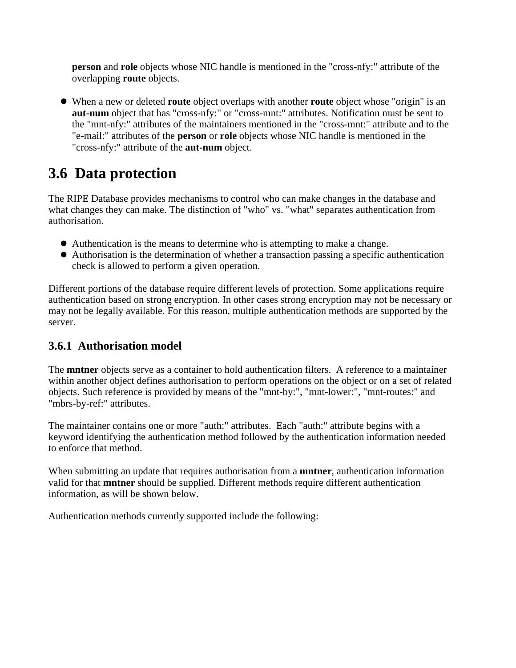**person** and **role** objects whose NIC handle is mentioned in the "cross-nfy:" attribute of the overlapping **route** objects.

When a new or deleted **route** object overlaps with another **route** object whose "origin" is an **aut-num** object that has "cross-nfy:" or "cross-mnt:" attributes. Notification must be sent to the "mnt-nfy:" attributes of the maintainers mentioned in the "cross-mnt:" attribute and to the "e-mail:" attributes of the **person** or **role** objects whose NIC handle is mentioned in the "cross-nfy:" attribute of the **aut-num** object.

# **3.6 Data protection**

The RIPE Database provides mechanisms to control who can make changes in the database and what changes they can make. The distinction of "who" vs. "what" separates authentication from authorisation.

- Authentication is the means to determine who is attempting to make a change.
- Authorisation is the determination of whether a transaction passing a specific authentication check is allowed to perform a given operation.

Different portions of the database require different levels of protection. Some applications require authentication based on strong encryption. In other cases strong encryption may not be necessary or may not be legally available. For this reason, multiple authentication methods are supported by the server.

### **3.6.1 Authorisation model**

The **mntner** objects serve as a container to hold authentication filters. A reference to a maintainer within another object defines authorisation to perform operations on the object or on a set of related objects. Such reference is provided by means of the "mnt-by:", "mnt-lower:", "mnt-routes:" and "mbrs-by-ref:" attributes.

The maintainer contains one or more "auth:" attributes. Each "auth:" attribute begins with a keyword identifying the authentication method followed by the authentication information needed to enforce that method.

When submitting an update that requires authorisation from a **mntner**, authentication information valid for that **mntner** should be supplied. Different methods require different authentication information, as will be shown below.

Authentication methods currently supported include the following: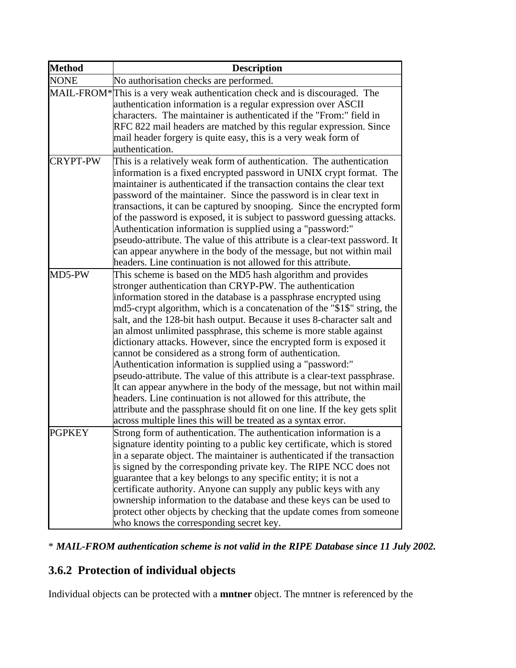| <b>Method</b> | <b>Description</b>                                                                                                                                                                                                                                                                                                                                                                                                                                                                                                                                                                                                                                                                                                                                                                                                                                                                                                                                                                                     |
|---------------|--------------------------------------------------------------------------------------------------------------------------------------------------------------------------------------------------------------------------------------------------------------------------------------------------------------------------------------------------------------------------------------------------------------------------------------------------------------------------------------------------------------------------------------------------------------------------------------------------------------------------------------------------------------------------------------------------------------------------------------------------------------------------------------------------------------------------------------------------------------------------------------------------------------------------------------------------------------------------------------------------------|
| <b>NONE</b>   | No authorisation checks are performed.                                                                                                                                                                                                                                                                                                                                                                                                                                                                                                                                                                                                                                                                                                                                                                                                                                                                                                                                                                 |
|               | MAIL-FROM*This is a very weak authentication check and is discouraged. The<br>authentication information is a regular expression over ASCII<br>characters. The maintainer is authenticated if the "From:" field in                                                                                                                                                                                                                                                                                                                                                                                                                                                                                                                                                                                                                                                                                                                                                                                     |
|               | RFC 822 mail headers are matched by this regular expression. Since<br>mail header forgery is quite easy, this is a very weak form of<br>authentication.                                                                                                                                                                                                                                                                                                                                                                                                                                                                                                                                                                                                                                                                                                                                                                                                                                                |
| CRYPT-PW      | This is a relatively weak form of authentication. The authentication<br>information is a fixed encrypted password in UNIX crypt format. The<br>maintainer is authenticated if the transaction contains the clear text<br>password of the maintainer. Since the password is in clear text in<br>transactions, it can be captured by snooping. Since the encrypted form<br>of the password is exposed, it is subject to password guessing attacks.<br>Authentication information is supplied using a "password:"                                                                                                                                                                                                                                                                                                                                                                                                                                                                                         |
|               | pseudo-attribute. The value of this attribute is a clear-text password. It<br>can appear anywhere in the body of the message, but not within mail<br>headers. Line continuation is not allowed for this attribute.                                                                                                                                                                                                                                                                                                                                                                                                                                                                                                                                                                                                                                                                                                                                                                                     |
| MD5-PW        | This scheme is based on the MD5 hash algorithm and provides<br>stronger authentication than CRYP-PW. The authentication<br>information stored in the database is a passphrase encrypted using<br>md5-crypt algorithm, which is a concatenation of the "\$1\$" string, the<br>salt, and the 128-bit hash output. Because it uses 8-character salt and<br>an almost unlimited passphrase, this scheme is more stable against<br>dictionary attacks. However, since the encrypted form is exposed it<br>cannot be considered as a strong form of authentication.<br>Authentication information is supplied using a "password:"<br>pseudo-attribute. The value of this attribute is a clear-text passphrase.<br>It can appear anywhere in the body of the message, but not within mail<br>headers. Line continuation is not allowed for this attribute, the<br>attribute and the passphrase should fit on one line. If the key gets split<br>across multiple lines this will be treated as a syntax error. |
| <b>PGPKEY</b> | Strong form of authentication. The authentication information is a<br>signature identity pointing to a public key certificate, which is stored<br>in a separate object. The maintainer is authenticated if the transaction<br>is signed by the corresponding private key. The RIPE NCC does not<br>guarantee that a key belongs to any specific entity; it is not a<br>certificate authority. Anyone can supply any public keys with any<br>ownership information to the database and these keys can be used to<br>protect other objects by checking that the update comes from someone<br>who knows the corresponding secret key.                                                                                                                                                                                                                                                                                                                                                                     |

\* *MAIL-FROM authentication scheme is not valid in the RIPE Database since 11 July 2002.*

## **3.6.2 Protection of individual objects**

Individual objects can be protected with a **mntner** object. The mntner is referenced by the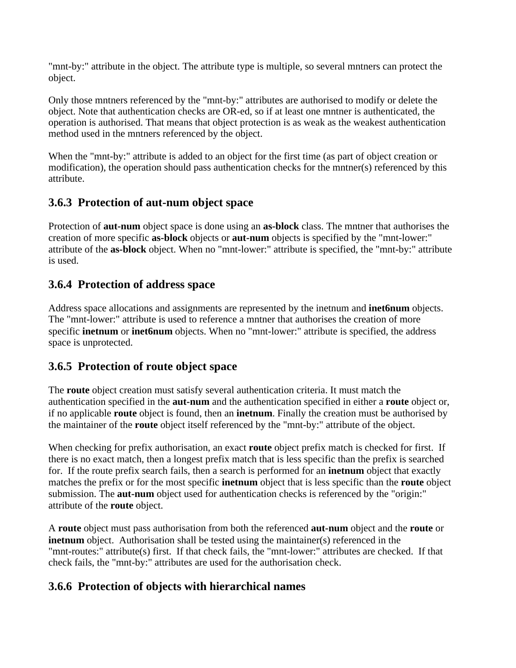"mnt-by:" attribute in the object. The attribute type is multiple, so several mntners can protect the object.

Only those mntners referenced by the "mnt-by:" attributes are authorised to modify or delete the object. Note that authentication checks are OR-ed, so if at least one mntner is authenticated, the operation is authorised. That means that object protection is as weak as the weakest authentication method used in the mntners referenced by the object.

When the "mnt-by:" attribute is added to an object for the first time (as part of object creation or modification), the operation should pass authentication checks for the mntner(s) referenced by this attribute.

## **3.6.3 Protection of aut-num object space**

Protection of **aut-num** object space is done using an **as-block** class. The mntner that authorises the creation of more specific **as-block** objects or **aut-num** objects is specified by the "mnt-lower:" attribute of the **as-block** object. When no "mnt-lower:" attribute is specified, the "mnt-by:" attribute is used.

## **3.6.4 Protection of address space**

Address space allocations and assignments are represented by the inetnum and **inet6num** objects. The "mnt-lower:" attribute is used to reference a mntner that authorises the creation of more specific **inetnum** or **inet6num** objects. When no "mnt-lower:" attribute is specified, the address space is unprotected.

## **3.6.5 Protection of route object space**

The **route** object creation must satisfy several authentication criteria. It must match the authentication specified in the **aut-num** and the authentication specified in either a **route** object or, if no applicable **route** object is found, then an **inetnum**. Finally the creation must be authorised by the maintainer of the **route** object itself referenced by the "mnt-by:" attribute of the object.

When checking for prefix authorisation, an exact **route** object prefix match is checked for first. If there is no exact match, then a longest prefix match that is less specific than the prefix is searched for. If the route prefix search fails, then a search is performed for an **inetnum** object that exactly matches the prefix or for the most specific **inetnum** object that is less specific than the **route** object submission. The **aut-num** object used for authentication checks is referenced by the "origin:" attribute of the **route** object.

A **route** object must pass authorisation from both the referenced **aut-num** object and the **route** or **inethum** object. Authorisation shall be tested using the maintainer(s) referenced in the "mnt-routes:" attribute(s) first. If that check fails, the "mnt-lower:" attributes are checked. If that check fails, the "mnt-by:" attributes are used for the authorisation check.

## **3.6.6 Protection of objects with hierarchical names**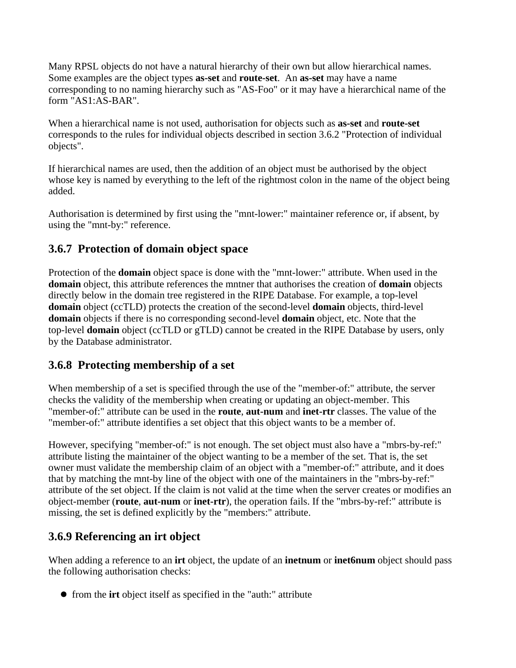Many RPSL objects do not have a natural hierarchy of their own but allow hierarchical names. Some examples are the object types **as-set** and **route-set**. An **as-set** may have a name corresponding to no naming hierarchy such as "AS-Foo" or it may have a hierarchical name of the form "AS1:AS-BAR".

When a hierarchical name is not used, authorisation for objects such as **as-set** and **route-set** corresponds to the rules for individual objects described in section 3.6.2 "Protection of individual objects".

If hierarchical names are used, then the addition of an object must be authorised by the object whose key is named by everything to the left of the rightmost colon in the name of the object being added.

Authorisation is determined by first using the "mnt-lower:" maintainer reference or, if absent, by using the "mnt-by:" reference.

## **3.6.7 Protection of domain object space**

Protection of the **domain** object space is done with the "mnt-lower:" attribute. When used in the **domain** object, this attribute references the mntner that authorises the creation of **domain** objects directly below in the domain tree registered in the RIPE Database. For example, a top-level **domain** object (ccTLD) protects the creation of the second-level **domain** objects, third-level **domain** objects if there is no corresponding second-level **domain** object, etc. Note that the top-level **domain** object (ccTLD or gTLD) cannot be created in the RIPE Database by users, only by the Database administrator.

## **3.6.8 Protecting membership of a set**

When membership of a set is specified through the use of the "member-of:" attribute, the server checks the validity of the membership when creating or updating an object-member. This "member-of:" attribute can be used in the **route**, **aut-num** and **inet-rtr** classes. The value of the "member-of:" attribute identifies a set object that this object wants to be a member of.

However, specifying "member-of:" is not enough. The set object must also have a "mbrs-by-ref:" attribute listing the maintainer of the object wanting to be a member of the set. That is, the set owner must validate the membership claim of an object with a "member-of:" attribute, and it does that by matching the mnt-by line of the object with one of the maintainers in the "mbrs-by-ref:" attribute of the set object. If the claim is not valid at the time when the server creates or modifies an object-member (**route**, **aut-num** or **inet-rtr**), the operation fails. If the "mbrs-by-ref:" attribute is missing, the set is defined explicitly by the "members:" attribute.

## **3.6.9 Referencing an irt object**

When adding a reference to an **irt** object, the update of an **inetnum** or **inet6num** object should pass the following authorisation checks:

from the **irt** object itself as specified in the "auth:" attribute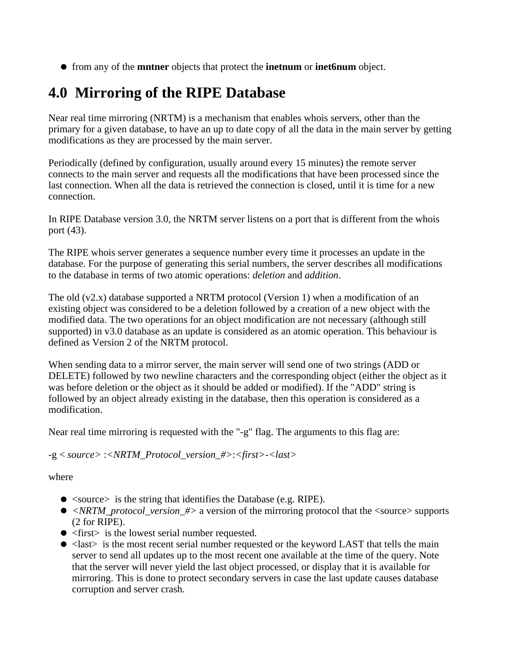from any of the **mntner** objects that protect the **inetnum** or **inet6num** object.

# **4.0 Mirroring of the RIPE Database**

Near real time mirroring (NRTM) is a mechanism that enables whois servers, other than the primary for a given database, to have an up to date copy of all the data in the main server by getting modifications as they are processed by the main server.

Periodically (defined by configuration, usually around every 15 minutes) the remote server connects to the main server and requests all the modifications that have been processed since the last connection. When all the data is retrieved the connection is closed, until it is time for a new connection.

In RIPE Database version 3.0, the NRTM server listens on a port that is different from the whois port (43).

The RIPE whois server generates a sequence number every time it processes an update in the database. For the purpose of generating this serial numbers, the server describes all modifications to the database in terms of two atomic operations: *deletion* and *addition*.

The old  $(v2.x)$  database supported a NRTM protocol (Version 1) when a modification of an existing object was considered to be a deletion followed by a creation of a new object with the modified data. The two operations for an object modification are not necessary (although still supported) in v3.0 database as an update is considered as an atomic operation. This behaviour is defined as Version 2 of the NRTM protocol.

When sending data to a mirror server, the main server will send one of two strings (ADD or DELETE) followed by two newline characters and the corresponding object (either the object as it was before deletion or the object as it should be added or modified). If the "ADD" string is followed by an object already existing in the database, then this operation is considered as a modification.

Near real time mirroring is requested with the "-g" flag. The arguments to this flag are:

-g < *source>* :*<NRTM\_Protocol\_version\_#>*:*<first>-<last>*

where

- $\bullet$  <source> is the string that identifies the Database (e.g. RIPE).
- *<NRTM\_protocol\_version\_#>* a version of the mirroring protocol that the <source> supports (2 for RIPE).
- <first> is the lowest serial number requested.
- < last is the most recent serial number requested or the keyword LAST that tells the main server to send all updates up to the most recent one available at the time of the query. Note that the server will never yield the last object processed, or display that it is available for mirroring. This is done to protect secondary servers in case the last update causes database corruption and server crash.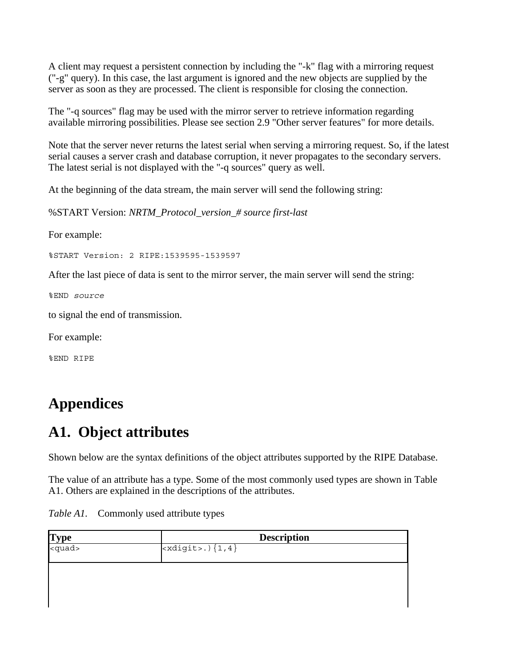A client may request a persistent connection by including the "-k" flag with a mirroring request ("-g" query). In this case, the last argument is ignored and the new objects are supplied by the server as soon as they are processed. The client is responsible for closing the connection.

The "-q sources" flag may be used with the mirror server to retrieve information regarding available mirroring possibilities. Please see section 2.9 "Other server features" for more details.

Note that the server never returns the latest serial when serving a mirroring request. So, if the latest serial causes a server crash and database corruption, it never propagates to the secondary servers. The latest serial is not displayed with the "-q sources" query as well.

At the beginning of the data stream, the main server will send the following string:

%START Version: *NRTM\_Protocol\_version\_# source first-last*

For example:

%START Version: 2 RIPE:1539595-1539597

After the last piece of data is sent to the mirror server, the main server will send the string:

%END *source*

to signal the end of transmission.

For example:

%END RIPE

# **Appendices**

# **A1. Object attributes**

Shown below are the syntax definitions of the object attributes supported by the RIPE Database.

The value of an attribute has a type. Some of the most commonly used types are shown in Table A1. Others are explained in the descriptions of the attributes.

| $\frac{Type}{\lequadquad}$ | <b>Description</b>                                                |
|----------------------------|-------------------------------------------------------------------|
|                            | $\overline{\left  \text{exdigit}\right  ,\left  \{1,4\}\right  }$ |
|                            |                                                                   |
|                            |                                                                   |
|                            |                                                                   |
|                            |                                                                   |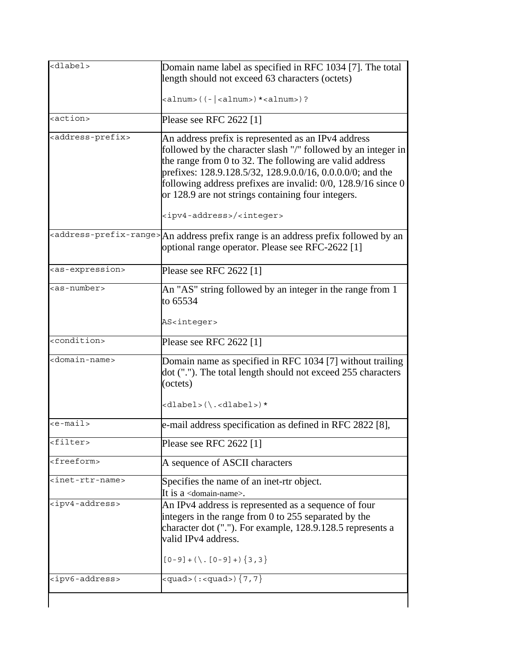| <dlabel></dlabel>                 | Domain name label as specified in RFC 1034 [7]. The total<br>length should not exceed 63 characters (octets)                                                                                                                                                                                                                                                            |
|-----------------------------------|-------------------------------------------------------------------------------------------------------------------------------------------------------------------------------------------------------------------------------------------------------------------------------------------------------------------------------------------------------------------------|
|                                   | $\alpha$ lnum>((-  $\alpha$ lnum>) * $\alpha$ lnum>) ?                                                                                                                                                                                                                                                                                                                  |
| <action></action>                 | Please see RFC 2622 [1]                                                                                                                                                                                                                                                                                                                                                 |
| <address-prefix></address-prefix> | An address prefix is represented as an IPv4 address<br>followed by the character slash "/" followed by an integer in<br>the range from 0 to 32. The following are valid address<br>prefixes: 128.9.128.5/32, 128.9.0.0/16, 0.0.0.0/0; and the<br>following address prefixes are invalid: $0/0$ , 128.9/16 since 0<br>or 128.9 are not strings containing four integers. |
|                                   | <ipv4-address>/<integer></integer></ipv4-address>                                                                                                                                                                                                                                                                                                                       |
|                                   | <address-prefix-range> An address prefix range is an address prefix followed by an<br/>optional range operator. Please see RFC-2622 [1]</address-prefix-range>                                                                                                                                                                                                          |
| <as-expression></as-expression>   | Please see RFC 2622 [1]                                                                                                                                                                                                                                                                                                                                                 |
| <as-number></as-number>           | An "AS" string followed by an integer in the range from 1<br>to 65534                                                                                                                                                                                                                                                                                                   |
|                                   | AS <integer></integer>                                                                                                                                                                                                                                                                                                                                                  |
| <condition></condition>           | Please see RFC 2622 [1]                                                                                                                                                                                                                                                                                                                                                 |
| <domain-name></domain-name>       | Domain name as specified in RFC 1034 [7] without trailing<br>dot ("."). The total length should not exceed 255 characters<br>(octets)<br>$\langle$ dlabel> $(\, \langle \, . \rangle \, \langle$ dlabel> $) \star$                                                                                                                                                      |
| $\leq$ e-mail>                    |                                                                                                                                                                                                                                                                                                                                                                         |
|                                   | e-mail address specification as defined in RFC 2822 [8],                                                                                                                                                                                                                                                                                                                |
| <filter></filter>                 | Please see RFC 2622 [1]                                                                                                                                                                                                                                                                                                                                                 |
| <freeform></freeform>             | A sequence of ASCII characters                                                                                                                                                                                                                                                                                                                                          |
| <inet-rtr-name></inet-rtr-name>   | Specifies the name of an inet-rtr object.<br>It is a $\alpha$ -domain-name>.                                                                                                                                                                                                                                                                                            |
| <ipv4-address></ipv4-address>     | An IPv4 address is represented as a sequence of four<br>integers in the range from 0 to 255 separated by the<br>character dot ("."). For example, 128.9.128.5 represents a<br>valid IPv4 address.<br>$[0-9] + (\ . [0-9] + ) \{3,3\}$                                                                                                                                   |
| <ipv6-address></ipv6-address>     | <guad><math>(</math>:<guad><math>)</math><math>\{7, 7\}</math></guad></guad>                                                                                                                                                                                                                                                                                            |
|                                   |                                                                                                                                                                                                                                                                                                                                                                         |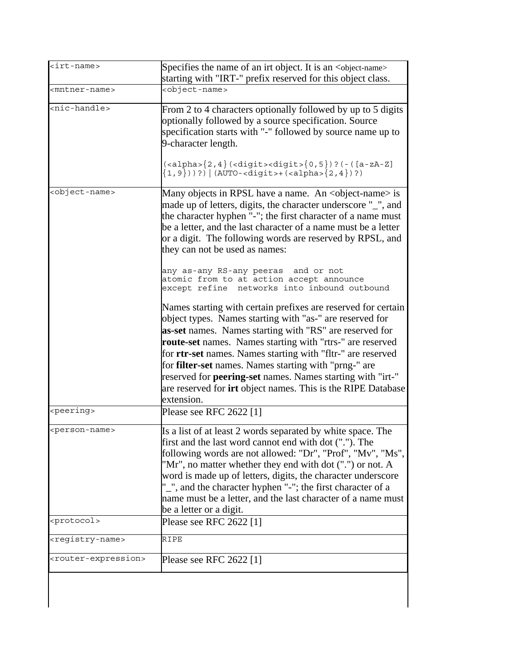| Specifies the name of an irt object. It is an <object-name><br/>starting with "IRT-" prefix reserved for this object class.<br/><object-name><br/>optionally followed by a source specification. Source<br/>specification starts with "-" followed by source name up to<br/>9-character length.<br/><math>\{<alpha>\{2,4\}</alpha></math> (<digit><digit><math>\{0,5\}</math>)? (-([a-zA-Z]<br/><math>\{1, 9\})</math> ) ?) <math>  (AUTO - \text{digit} &gt; + (\text{calpha} &gt; \{2, 4\})</math> ?)<br/>Many objects in RPSL have a name. An <object-name> is<br/>made up of letters, digits, the character underscore "_", and<br/>the character hyphen "-"; the first character of a name must<br/>be a letter, and the last character of a name must be a letter<br/>or a digit. The following words are reserved by RPSL, and<br/>they can not be used as names:<br/>any as-any RS-any peeras and or not<br/>atomic from to at action accept announce<br/>except refine networks into inbound outbound</object-name></digit></digit></object-name></object-name> |
|--------------------------------------------------------------------------------------------------------------------------------------------------------------------------------------------------------------------------------------------------------------------------------------------------------------------------------------------------------------------------------------------------------------------------------------------------------------------------------------------------------------------------------------------------------------------------------------------------------------------------------------------------------------------------------------------------------------------------------------------------------------------------------------------------------------------------------------------------------------------------------------------------------------------------------------------------------------------------------------------------------------------------------------------------------------------------|
|                                                                                                                                                                                                                                                                                                                                                                                                                                                                                                                                                                                                                                                                                                                                                                                                                                                                                                                                                                                                                                                                          |
| From 2 to 4 characters optionally followed by up to 5 digits                                                                                                                                                                                                                                                                                                                                                                                                                                                                                                                                                                                                                                                                                                                                                                                                                                                                                                                                                                                                             |
|                                                                                                                                                                                                                                                                                                                                                                                                                                                                                                                                                                                                                                                                                                                                                                                                                                                                                                                                                                                                                                                                          |
|                                                                                                                                                                                                                                                                                                                                                                                                                                                                                                                                                                                                                                                                                                                                                                                                                                                                                                                                                                                                                                                                          |
|                                                                                                                                                                                                                                                                                                                                                                                                                                                                                                                                                                                                                                                                                                                                                                                                                                                                                                                                                                                                                                                                          |
| Names starting with certain prefixes are reserved for certain<br>object types. Names starting with "as-" are reserved for<br>as-set names. Names starting with "RS" are reserved for<br>route-set names. Names starting with "rtrs-" are reserved<br>for rtr-set names. Names starting with "fltr-" are reserved<br>for <b>filter-set</b> names. Names starting with "prng-" are<br>reserved for <b>peering-set</b> names. Names starting with "irt-"<br>are reserved for irt object names. This is the RIPE Database                                                                                                                                                                                                                                                                                                                                                                                                                                                                                                                                                    |
| Please see RFC 2622 [1]                                                                                                                                                                                                                                                                                                                                                                                                                                                                                                                                                                                                                                                                                                                                                                                                                                                                                                                                                                                                                                                  |
| Is a list of at least 2 words separated by white space. The<br>first and the last word cannot end with dot ("."). The<br>following words are not allowed: "Dr", "Prof", "Mv", "Ms",<br>"Mr", no matter whether they end with dot (".") or not. A<br>word is made up of letters, digits, the character underscore<br>"_", and the character hyphen "-"; the first character of a<br>name must be a letter, and the last character of a name must                                                                                                                                                                                                                                                                                                                                                                                                                                                                                                                                                                                                                          |
| be a letter or a digit.                                                                                                                                                                                                                                                                                                                                                                                                                                                                                                                                                                                                                                                                                                                                                                                                                                                                                                                                                                                                                                                  |
| Please see RFC 2622 [1]                                                                                                                                                                                                                                                                                                                                                                                                                                                                                                                                                                                                                                                                                                                                                                                                                                                                                                                                                                                                                                                  |
|                                                                                                                                                                                                                                                                                                                                                                                                                                                                                                                                                                                                                                                                                                                                                                                                                                                                                                                                                                                                                                                                          |
|                                                                                                                                                                                                                                                                                                                                                                                                                                                                                                                                                                                                                                                                                                                                                                                                                                                                                                                                                                                                                                                                          |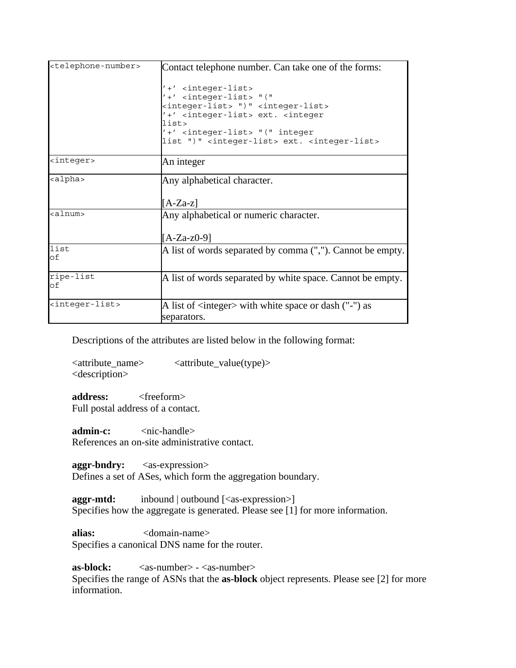| <telephone-number></telephone-number> | Contact telephone number. Can take one of the forms:<br>'+' <integer-list><br/><math>'+'</math> <integer-list> "("<br/><integer-list> ")" <integer-list><br/>'+' <integer-list> ext. <integer<br>list&gt;<br/>'+' <integer-list> "(" integer<br/>list ")" <integer-list> ext. <integer-list></integer-list></integer-list></integer-list></integer<br></integer-list></integer-list></integer-list></integer-list></integer-list> |  |
|---------------------------------------|-----------------------------------------------------------------------------------------------------------------------------------------------------------------------------------------------------------------------------------------------------------------------------------------------------------------------------------------------------------------------------------------------------------------------------------|--|
| <integer></integer>                   | An integer                                                                                                                                                                                                                                                                                                                                                                                                                        |  |
| <alpha></alpha>                       | Any alphabetical character.<br>$[A-Za-z]$                                                                                                                                                                                                                                                                                                                                                                                         |  |
| <alnum></alnum>                       | Any alphabetical or numeric character.<br>$[A-Za-z0-9]$                                                                                                                                                                                                                                                                                                                                                                           |  |
| list<br>lof                           | A list of words separated by comma (","). Cannot be empty.                                                                                                                                                                                                                                                                                                                                                                        |  |
| ripe-list<br>lof                      | A list of words separated by white space. Cannot be empty.                                                                                                                                                                                                                                                                                                                                                                        |  |
| <integer-list></integer-list>         | A list of <integer> with white space or dash ("-") as<br/>separators.</integer>                                                                                                                                                                                                                                                                                                                                                   |  |

Descriptions of the attributes are listed below in the following format:

<attribute\_name> <attribute\_value(type)> <description>

address: <freeform> Full postal address of a contact.

**admin-c:**  $\langle$ nic-handle> References an on-site administrative contact.

**aggr-bndry:** <as-expression> Defines a set of ASes, which form the aggregation boundary.

**aggr-mtd:** inbound | outbound  $[\langle \text{as-expression} \rangle]$ Specifies how the aggregate is generated. Please see [1] for more information.

alias:  $\langle$  domain-name> Specifies a canonical DNS name for the router.

**as-block:** <as-number> - <as-number> Specifies the range of ASNs that the **as-block** object represents. Please see [2] for more information.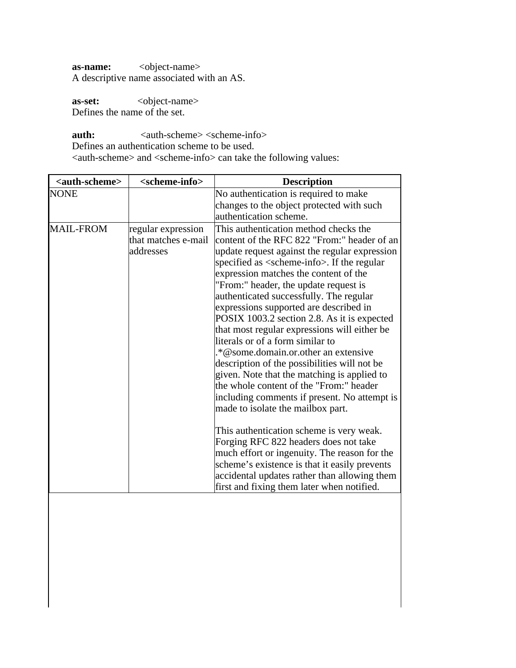**as-name:** <object-name> A descriptive name associated with an AS.

as-set:  $\leq$  object-name> Defines the name of the set.

 $a$ uth:  $\langle \text{auth-scheme} \rangle \langle \text{scheme-info} \rangle$ Defines an authentication scheme to be used.

<auth-scheme> and <scheme-info> can take the following values:

| <auth-scheme></auth-scheme> | <scheme-info></scheme-info>                            | <b>Description</b>                                                                                                                                                                                                                                                                                                                                                                                                                                                                                                                                                                                                                                                                                                                                                                                                                                                                                                                                                                                                                                                                        |
|-----------------------------|--------------------------------------------------------|-------------------------------------------------------------------------------------------------------------------------------------------------------------------------------------------------------------------------------------------------------------------------------------------------------------------------------------------------------------------------------------------------------------------------------------------------------------------------------------------------------------------------------------------------------------------------------------------------------------------------------------------------------------------------------------------------------------------------------------------------------------------------------------------------------------------------------------------------------------------------------------------------------------------------------------------------------------------------------------------------------------------------------------------------------------------------------------------|
| INONE                       |                                                        | No authentication is required to make<br>changes to the object protected with such<br>authentication scheme.                                                                                                                                                                                                                                                                                                                                                                                                                                                                                                                                                                                                                                                                                                                                                                                                                                                                                                                                                                              |
| <b>MAIL-FROM</b>            | regular expression<br>that matches e-mail<br>addresses | This authentication method checks the<br>content of the RFC 822 "From:" header of an<br>update request against the regular expression<br>specified as <scheme-info>. If the regular<br/>expression matches the content of the<br/>"From:" header, the update request is<br/>authenticated successfully. The regular<br/>expressions supported are described in<br/>POSIX 1003.2 section 2.8. As it is expected<br/>that most regular expressions will either be<br/>literals or of a form similar to<br/>.*@some.domain.or.other an extensive<br/>description of the possibilities will not be<br/>given. Note that the matching is applied to<br/>the whole content of the "From:" header<br/>including comments if present. No attempt is<br/>made to isolate the mailbox part.<br/>This authentication scheme is very weak.<br/>Forging RFC 822 headers does not take<br/>much effort or ingenuity. The reason for the<br/>scheme's existence is that it easily prevents<br/>accidental updates rather than allowing them<br/>first and fixing them later when notified.</scheme-info> |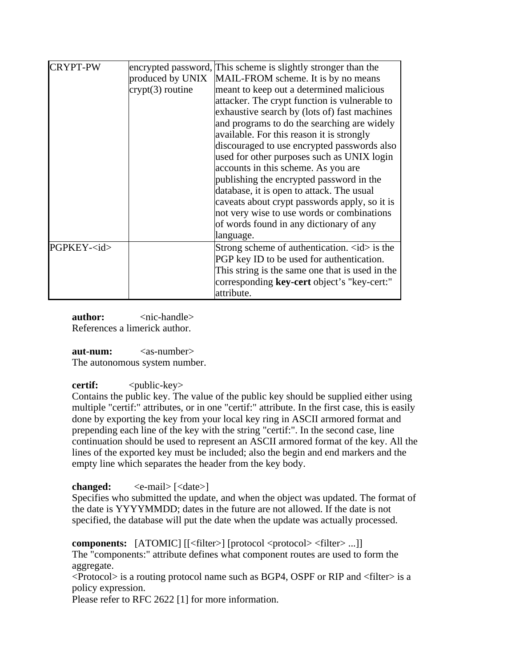| <b>CRYPT-PW</b>   | produced by UNIX<br>$crypt(3)$ routine | encrypted password, This scheme is slightly stronger than the<br>MAIL-FROM scheme. It is by no means<br>meant to keep out a determined malicious<br>attacker. The crypt function is vulnerable to<br>exhaustive search by (lots of) fast machines<br>and programs to do the searching are widely<br>available. For this reason it is strongly<br>discouraged to use encrypted passwords also<br>used for other purposes such as UNIX login<br>accounts in this scheme. As you are<br>publishing the encrypted password in the<br>database, it is open to attack. The usual<br>caveats about crypt passwords apply, so it is<br>not very wise to use words or combinations<br>of words found in any dictionary of any<br>language. |
|-------------------|----------------------------------------|-----------------------------------------------------------------------------------------------------------------------------------------------------------------------------------------------------------------------------------------------------------------------------------------------------------------------------------------------------------------------------------------------------------------------------------------------------------------------------------------------------------------------------------------------------------------------------------------------------------------------------------------------------------------------------------------------------------------------------------|
| PGPKEY- <id></id> |                                        | Strong scheme of authentication. $\langle id \rangle$ is the<br>PGP key ID to be used for authentication.<br>This string is the same one that is used in the<br>corresponding key-cert object's "key-cert:"<br>attribute.                                                                                                                                                                                                                                                                                                                                                                                                                                                                                                         |

**author:**  $\langle$ nic-handle> References a limerick author.

 $\lambda$ **aut-num:**  $\langle$  as-number The autonomous system number.

**certif:**  $\langle \text{public-key} \rangle$ 

Contains the public key. The value of the public key should be supplied either using multiple "certif:" attributes, or in one "certif:" attribute. In the first case, this is easily done by exporting the key from your local key ring in ASCII armored format and prepending each line of the key with the string "certif:". In the second case, line continuation should be used to represent an ASCII armored format of the key. All the lines of the exported key must be included; also the begin and end markers and the empty line which separates the header from the key body.

**changed:**  $\langle e$ -mail>  $|\langle$ date>]

Specifies who submitted the update, and when the object was updated. The format of the date is YYYYMMDD; dates in the future are not allowed. If the date is not specified, the database will put the date when the update was actually processed.

**components:** [ATOMIC] [[<filter>] [protocol <protocol> <filter>...]]

The "components:" attribute defines what component routes are used to form the aggregate.

 $\leq$ Protocol $>$  is a routing protocol name such as BGP4, OSPF or RIP and  $\leq$  filter $>$  is a policy expression.

Please refer to RFC 2622 [1] for more information.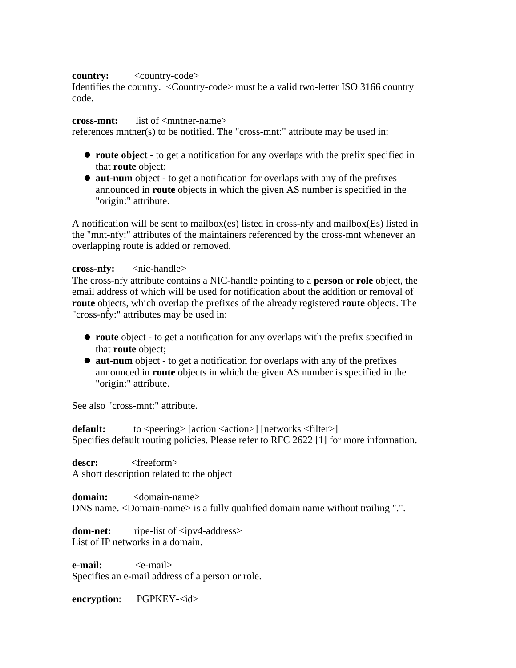#### **country:** <country-code>

Identifies the country. <Country-code> must be a valid two-letter ISO 3166 country code.

#### **cross-mnt:** list of <mntner-name>

references mntner(s) to be notified. The "cross-mnt:" attribute may be used in:

- **route object** to get a notification for any overlaps with the prefix specified in that **route** object;
- **aut-num** object to get a notification for overlaps with any of the prefixes announced in **route** objects in which the given AS number is specified in the "origin:" attribute.

A notification will be sent to mailbox(es) listed in cross-nfy and mailbox(Es) listed in the "mnt-nfy:" attributes of the maintainers referenced by the cross-mnt whenever an overlapping route is added or removed.

#### **cross-nfy:** <nic-handle>

The cross-nfy attribute contains a NIC-handle pointing to a **person** or **role** object, the email address of which will be used for notification about the addition or removal of **route** objects, which overlap the prefixes of the already registered **route** objects. The "cross-nfy:" attributes may be used in:

- **route** object to get a notification for any overlaps with the prefix specified in that **route** object;
- **aut-num** object to get a notification for overlaps with any of the prefixes announced in **route** objects in which the given AS number is specified in the "origin:" attribute.

See also "cross-mnt:" attribute.

**default:** to <peering> [action <action>] [networks <filter>] Specifies default routing policies. Please refer to RFC 2622 [1] for more information.

descr: <freeform> A short description related to the object

**domain:** <domain-name> DNS name. <Domain-name> is a fully qualified domain name without trailing ".".

**dom-net:** ripe-list of  $\langle$ ipv4-address> List of IP networks in a domain.

**e-mail:** <e-mail> Specifies an e-mail address of a person or role.

**encryption:** PGPKEY-<id>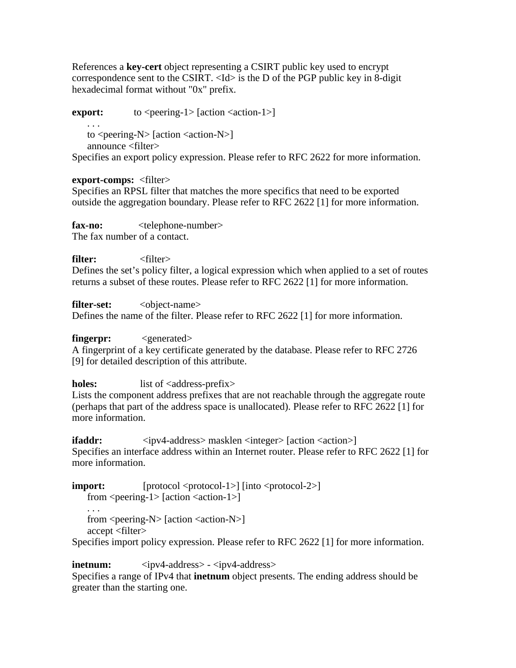References a **key-cert** object representing a CSIRT public key used to encrypt correspondence sent to the CSIRT. <Id> is the D of the PGP public key in 8-digit hexadecimal format without "0x" prefix.

**export:**  $\qquad \qquad \text{to} \leq \text{pering-1} > [\text{action} < \text{action-1}]$  . . . to  $\leq$  peering-N $>$  [action  $\leq$  action-N $>$ ] announce <filter>

Specifies an export policy expression. Please refer to RFC 2622 for more information.

#### **export-comps:** <filter>

Specifies an RPSL filter that matches the more specifics that need to be exported outside the aggregation boundary. Please refer to RFC 2622 [1] for more information.

**fax-no:** <telephone-number> The fax number of a contact.

**filter:** <filter> Defines the set's policy filter, a logical expression which when applied to a set of routes returns a subset of these routes. Please refer to RFC 2622 [1] for more information.

**filter-set:** <object-name>

Defines the name of the filter. Please refer to RFC 2622 [1] for more information.

**fingerpr:**  $\langle$  *<generated>* 

A fingerprint of a key certificate generated by the database. Please refer to RFC 2726 [9] for detailed description of this attribute.

**holes:** list of <address-prefix>

Lists the component address prefixes that are not reachable through the aggregate route (perhaps that part of the address space is unallocated). Please refer to RFC 2622 [1] for more information.

**ifaddr:**  $\langle i \rangle$  <ipv4-address> masklen  $\langle i \rangle$  and  $\langle i \rangle$  action  $\langle i \rangle$ Specifies an interface address within an Internet router. Please refer to RFC 2622 [1] for more information.

**import:** [protocol <protocol-1>]  $\left[ \text{into} \leq \text{protocol-2} \right]$ from  $\leq$  peering-1 $>$  [action  $\leq$ action-1 $>$ ]

 . . . from  $\le$  peering-N $>$  [action  $\le$  action-N $>$ ] accept <filter>

Specifies import policy expression. Please refer to RFC 2622 [1] for more information.

**inetnum:**  $\langle i \rangle$  <ipv4-address> -  $\langle i \rangle$  =  $\langle i \rangle$  +  $\langle i \rangle$  +  $\langle i \rangle$  +  $\langle i \rangle$  +  $\langle i \rangle$  +  $\langle i \rangle$  +  $\langle i \rangle$  +  $\langle i \rangle$  +  $\langle i \rangle$  +  $\langle i \rangle$  +  $\langle i \rangle$  +  $\langle i \rangle$  +  $\langle i \rangle$  +  $\langle i \rangle$  +  $\langle i \rangle$  +  $\langle i \rangle$  +  $\langle i \rangle$  +  $\langle i \rangle$ 

Specifies a range of IPv4 that **inetnum** object presents. The ending address should be greater than the starting one.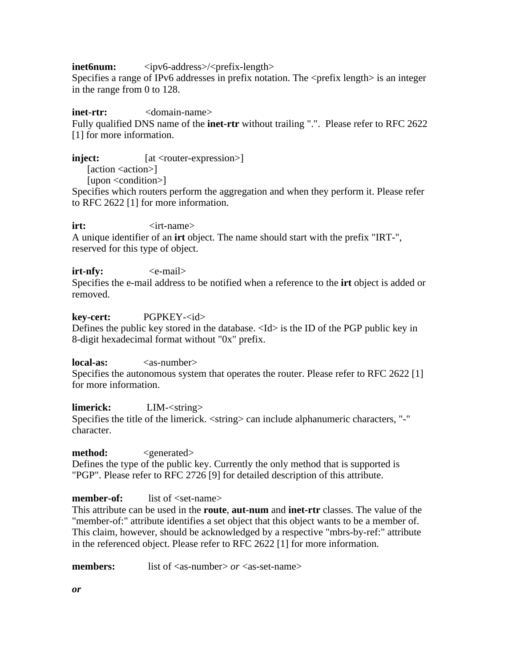**inet6num:**  $\langle i \text{pv6-} \text{address} \rangle / \langle \text{prefix-length} \rangle$ 

Specifies a range of IPv6 addresses in prefix notation. The <prefix length> is an integer in the range from 0 to 128.

#### **inet-rtr:**  $\langle$  <domain-name>

Fully qualified DNS name of the **inet-rtr** without trailing ".". Please refer to RFC 2622 [1] for more information.

**inject:**  $[at *con* + expression>]$ 

[action <action>]

[upon <condition>]

Specifies which routers perform the aggregation and when they perform it. Please refer to RFC 2622 [1] for more information.

**irt:**  $\langle$ irt-name>

A unique identifier of an **irt** object. The name should start with the prefix "IRT-", reserved for this type of object.

#### **irt-nfv:**  $\langle$ e-mail>

Specifies the e-mail address to be notified when a reference to the **irt** object is added or removed.

#### **key-cert:** PGPKEY-<id>

Defines the public key stored in the database. <Id> is the ID of the PGP public key in 8-digit hexadecimal format without "0x" prefix.

**local-as:**  $\langle$ as-number>

Specifies the autonomous system that operates the router. Please refer to RFC 2622 [1] for more information.

**limerick:** LIM-<string> Specifies the title of the limerick.  $\langle$ string $\rangle$  can include alphanumeric characters, "-" character.

#### **method:**  $\langle$  *generated>*

Defines the type of the public key. Currently the only method that is supported is "PGP". Please refer to RFC 2726 [9] for detailed description of this attribute.

### **member-of:** list of <set-name>

This attribute can be used in the **route**, **aut-num** and **inet-rtr** classes. The value of the "member-of:" attribute identifies a set object that this object wants to be a member of. This claim, however, should be acknowledged by a respective "mbrs-by-ref:" attribute in the referenced object. Please refer to RFC 2622 [1] for more information.

**members:** list of <as-number> *or* <as-set-name>

*or*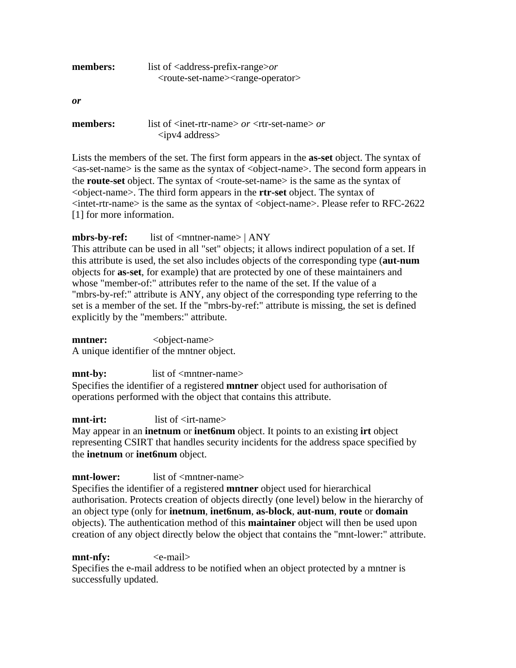| members: | list of $\leq$ address-prefix-range $\geq$ or                      |  |  |
|----------|--------------------------------------------------------------------|--|--|
|          | <route-set-name><range-operator></range-operator></route-set-name> |  |  |
| 0r       |                                                                    |  |  |

| members: | list of $\langle$ inet-rtr-name $>$ or $\langle$ rtr-set-name $>$ or |  |
|----------|----------------------------------------------------------------------|--|
|          | $\langle$ ipv4 address>                                              |  |

Lists the members of the set. The first form appears in the **as-set** object. The syntax of  $\langle$ as-set-name $\rangle$  is the same as the syntax of  $\langle$ object-name $\rangle$ . The second form appears in the **route-set** object. The syntax of <route-set-name> is the same as the syntax of <object-name>. The third form appears in the **rtr-set** object. The syntax of  $\langle$ intet-rtr-name> is the same as the syntax of  $\langle$ object-name>. Please refer to RFC-2622 [1] for more information.

#### **mbrs-by-ref:** list of <mntner-name> | ANY

This attribute can be used in all "set" objects; it allows indirect population of a set. If this attribute is used, the set also includes objects of the corresponding type (**aut-num** objects for **as-set**, for example) that are protected by one of these maintainers and whose "member-of:" attributes refer to the name of the set. If the value of a "mbrs-by-ref:" attribute is ANY, any object of the corresponding type referring to the set is a member of the set. If the "mbrs-by-ref:" attribute is missing, the set is defined explicitly by the "members:" attribute.

**mntner:**  $\leq$   $\leq$   $\leq$   $\leq$   $\leq$   $\leq$   $\leq$   $\leq$   $\leq$   $\leq$   $\leq$   $\leq$   $\leq$   $\leq$   $\leq$   $\leq$   $\leq$   $\leq$   $\leq$   $\leq$   $\leq$   $\leq$   $\leq$   $\leq$   $\leq$   $\leq$   $\leq$   $\leq$   $\leq$   $\leq$   $\leq$   $\leq$   $\leq$   $\leq$   $\leq$   $\$ A unique identifier of the mntner object.

**mnt-by:** list of <mntner-name>

Specifies the identifier of a registered **mntner** object used for authorisation of operations performed with the object that contains this attribute.

**mnt-irt:** list of  $\langle$ irt-name>

May appear in an **inetnum** or **inet6num** object. It points to an existing **irt** object representing CSIRT that handles security incidents for the address space specified by the **inetnum** or **inet6num** object.

### **mnt-lower:** list of <mntner-name>

Specifies the identifier of a registered **mntner** object used for hierarchical authorisation. Protects creation of objects directly (one level) below in the hierarchy of an object type (only for **inetnum**, **inet6num**, **as-block**, **aut-num**, **route** or **domain** objects). The authentication method of this **maintainer** object will then be used upon creation of any object directly below the object that contains the "mnt-lower:" attribute.

**mnt-nfy:**  $\langle$ e-mail>

Specifies the e-mail address to be notified when an object protected by a mntner is successfully updated.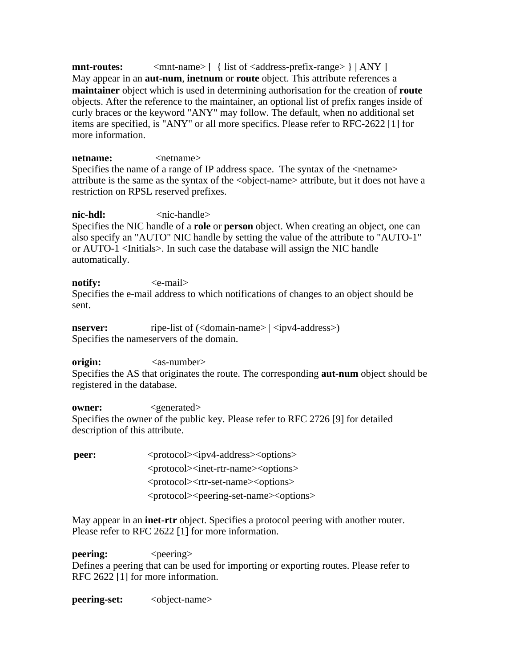$\text{mnt-routes:}$   $\text{~}$   $\text{~}$   $\text{~}$   $\text{~}$   $\text{~}$   $\text{~}$   $\text{~}$   $\text{~}$   $\text{~}$   $\text{~}$   $\text{~}$   $\text{~}$   $\text{~}$   $\text{~}$   $\text{~}$   $\text{~}$   $\text{~}$   $\text{~}$   $\text{~}$   $\text{~}$   $\text{~}$   $\text{~}$   $\text{~}$   $\text{~}$   $\text{~}$   $\text{~}$  May appear in an **aut-num**, **inetnum** or **route** object. This attribute references a **maintainer** object which is used in determining authorisation for the creation of **route** objects. After the reference to the maintainer, an optional list of prefix ranges inside of curly braces or the keyword "ANY" may follow. The default, when no additional set items are specified, is "ANY" or all more specifics. Please refer to RFC-2622 [1] for more information.

**netname:**  $\langle$ netname> Specifies the name of a range of IP address space. The syntax of the <netname> attribute is the same as the syntax of the <object-name> attribute, but it does not have a restriction on RPSL reserved prefixes.

**nic-hdl:** <nic-handle> Specifies the NIC handle of a **role** or **person** object. When creating an object, one can also specify an "AUTO" NIC handle by setting the value of the attribute to "AUTO-1" or AUTO-1 <Initials>. In such case the database will assign the NIC handle automatically.

**notify:**  $\langle$ e-mail> Specifies the e-mail address to which notifications of changes to an object should be sent.

**nserver:** ripe-list of (<domain-name> | <ipv4-address>) Specifies the nameservers of the domain.

origin:  $\langle$ as-number> Specifies the AS that originates the route. The corresponding **aut-num** object should be registered in the database.

**owner:**  $\langle$ generated> Specifies the owner of the public key. Please refer to RFC 2726 [9] for detailed description of this attribute.

**peer:**  $\langle$ protocol> $\langle$ ipv4-address> $\langle$ options> <protocol><inet-rtr-name><options> <protocol><rtr-set-name><options> <protocol><peering-set-name><options>

May appear in an **inet-rtr** object. Specifies a protocol peering with another router. Please refer to RFC 2622 [1] for more information.

**peering:**  $\langle$  peering> Defines a peering that can be used for importing or exporting routes. Please refer to RFC 2622 [1] for more information.

**peering-set:**  $\langle$ object-name>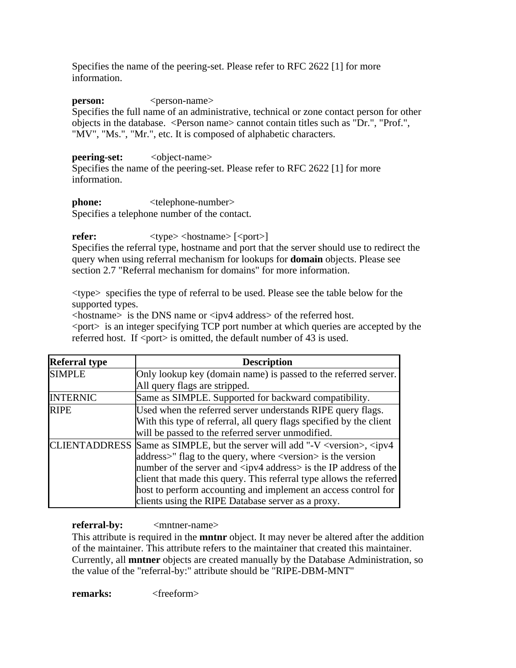Specifies the name of the peering-set. Please refer to RFC 2622 [1] for more information.

**person:**  $\langle$  person-name>

Specifies the full name of an administrative, technical or zone contact person for other objects in the database. <Person name> cannot contain titles such as "Dr.", "Prof.", "MV", "Ms.", "Mr.", etc. It is composed of alphabetic characters.

**peering-set:** <object-name>

Specifies the name of the peering-set. Please refer to RFC 2622 [1] for more information.

**phone:**  $\langle$  **telephone-number>** Specifies a telephone number of the contact.

**refer:**  $\langle \text{type}\rangle \langle \text{hostname}\rangle$  [ $\langle \text{port}\rangle$ ]

Specifies the referral type, hostname and port that the server should use to redirect the query when using referral mechanism for lookups for **domain** objects. Please see section 2.7 "Referral mechanism for domains" for more information.

<type> specifies the type of referral to be used. Please see the table below for the supported types.

<hostname> is the DNS name or <ipv4 address> of the referred host.

 $\epsilon$  port $>$  is an integer specifying TCP port number at which queries are accepted by the referred host. If  $\langle$  port $\rangle$  is omitted, the default number of 43 is used.

| <b>Referral type</b> | <b>Description</b>                                                                                                        |
|----------------------|---------------------------------------------------------------------------------------------------------------------------|
| <b>SIMPLE</b>        | Only lookup key (domain name) is passed to the referred server.                                                           |
|                      | All query flags are stripped.                                                                                             |
| <b>INTERNIC</b>      | Same as SIMPLE. Supported for backward compatibility.                                                                     |
| RIPE                 | Used when the referred server understands RIPE query flags.                                                               |
|                      | With this type of referral, all query flags specified by the client                                                       |
|                      | will be passed to the referred server unmodified.                                                                         |
|                      | LIENTADDRESS Same as SIMPLE, but the server will add "-V $\langle \text{version} \rangle$ , $\langle \text{ipv4} \rangle$ |
|                      | address>" flag to the query, where <version> is the version</version>                                                     |
|                      | number of the server and $\langle$ ipv4 address> is the IP address of the                                                 |
|                      | client that made this query. This referral type allows the referred                                                       |
|                      | host to perform accounting and implement an access control for                                                            |
|                      | clients using the RIPE Database server as a proxy.                                                                        |

**referral-by:**  $\langle$ mntner-name>

This attribute is required in the **mntnr** object. It may never be altered after the addition of the maintainer. This attribute refers to the maintainer that created this maintainer. Currently, all **mntner** objects are created manually by the Database Administration, so the value of the "referral-by:" attribute should be "RIPE-DBM-MNT"

**remarks:** <freeform>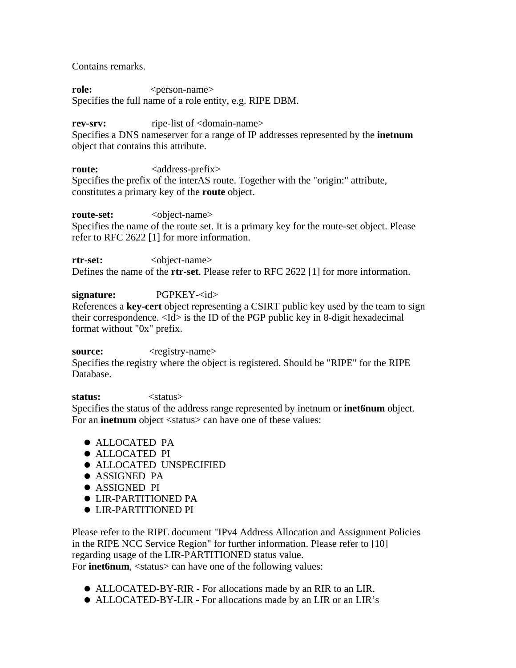Contains remarks.

**role:**  $\langle$  person-name> Specifies the full name of a role entity, e.g. RIPE DBM.

**rev-srv: ripe-list of <domain-name>** 

Specifies a DNS nameserver for a range of IP addresses represented by the **inetnum** object that contains this attribute.

**route:** <address-prefix> Specifies the prefix of the interAS route. Together with the "origin:" attribute, constitutes a primary key of the **route** object.

**route-set:**  $\langle$ object-name> Specifies the name of the route set. It is a primary key for the route-set object. Please refer to RFC 2622 [1] for more information.

**rtr-set:**  $\langle$ object-name> Defines the name of the **rtr-set**. Please refer to RFC 2622 [1] for more information.

signature: PGPKEY-<id> References a **key-cert** object representing a CSIRT public key used by the team to sign their correspondence. <Id> is the ID of the PGP public key in 8-digit hexadecimal format without "0x" prefix.

**source:**  $\langle$  registry-name>

Specifies the registry where the object is registered. Should be "RIPE" for the RIPE Database.

**status:** <status>

Specifies the status of the address range represented by inetnum or **inet6num** object. For an **inetnum** object <status> can have one of these values:

- ALLOCATED PA
- ALLOCATED PI
- ALLOCATED UNSPECIFIED
- **ASSIGNED PA**
- ASSIGNED PI
- LIR-PARTITIONED PA
- LIR-PARTITIONED PI

Please refer to the RIPE document "IPv4 Address Allocation and Assignment Policies in the RIPE NCC Service Region" for further information. Please refer to [10] regarding usage of the LIR-PARTITIONED status value. For **inet6num**, <status> can have one of the following values:

- ALLOCATED-BY-RIR For allocations made by an RIR to an LIR.
- ALLOCATED-BY-LIR For allocations made by an LIR or an LIR's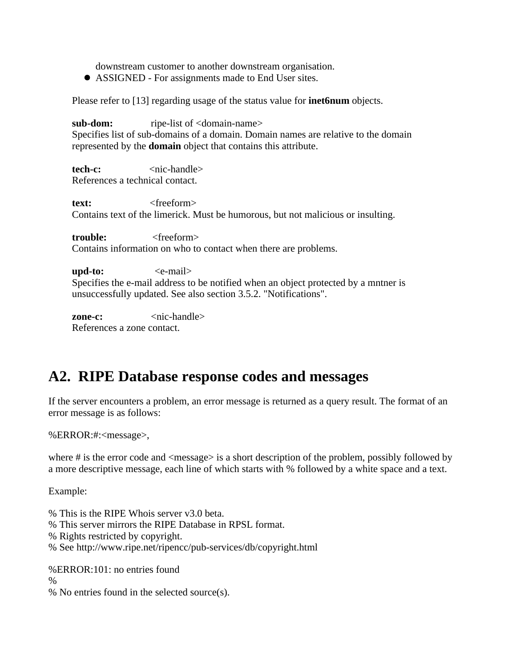downstream customer to another downstream organisation.

ASSIGNED - For assignments made to End User sites.

Please refer to [13] regarding usage of the status value for **inet6num** objects.

**sub-dom: ripe-list of <domain-name>** Specifies list of sub-domains of a domain. Domain names are relative to the domain represented by the **domain** object that contains this attribute.

**tech-c:**  $\langle$ nic-handle> References a technical contact.

**text:**  $\langle$  *text:* Contains text of the limerick. Must be humorous, but not malicious or insulting.

**trouble:** <freeform> Contains information on who to contact when there are problems.

**upd-to:**  $\langle$ e-mail> Specifies the e-mail address to be notified when an object protected by a mntner is unsuccessfully updated. See also section 3.5.2. "Notifications".

**zone-c:**  $\langle$ nic-handle> References a zone contact.

# **A2. RIPE Database response codes and messages**

If the server encounters a problem, an error message is returned as a query result. The format of an error message is as follows:

%ERROR:#:<message>,

where  $\#$  is the error code and  $\langle$  message $\rangle$  is a short description of the problem, possibly followed by a more descriptive message, each line of which starts with % followed by a white space and a text.

Example:

% This is the RIPE Whois server v3.0 beta.

- % This server mirrors the RIPE Database in RPSL format.
- % Rights restricted by copyright.
- % See http://www.ripe.net/ripencc/pub-services/db/copyright.html

%ERROR:101: no entries found

%

% No entries found in the selected source(s).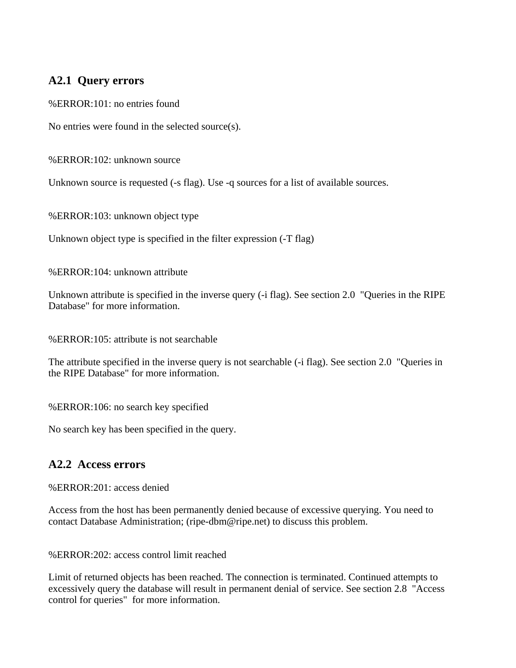### **A2.1 Query errors**

%ERROR:101: no entries found

No entries were found in the selected source(s).

%ERROR:102: unknown source

Unknown source is requested (-s flag). Use -q sources for a list of available sources.

%ERROR:103: unknown object type

Unknown object type is specified in the filter expression (-T flag)

%ERROR:104: unknown attribute

Unknown attribute is specified in the inverse query (-i flag). See section 2.0 "Queries in the RIPE Database" for more information.

%ERROR:105: attribute is not searchable

The attribute specified in the inverse query is not searchable (-i flag). See section 2.0 "Queries in the RIPE Database" for more information.

%ERROR:106: no search key specified

No search key has been specified in the query.

### **A2.2 Access errors**

%ERROR:201: access denied

Access from the host has been permanently denied because of excessive querying. You need to contact Database Administration; (ripe-dbm@ripe.net) to discuss this problem.

%ERROR:202: access control limit reached

Limit of returned objects has been reached. The connection is terminated. Continued attempts to excessively query the database will result in permanent denial of service. See section 2.8 "Access control for queries" for more information.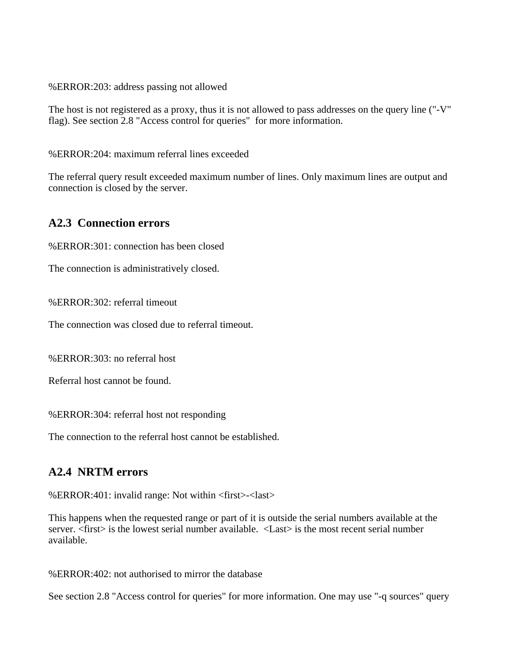%ERROR:203: address passing not allowed

The host is not registered as a proxy, thus it is not allowed to pass addresses on the query line ("-V" flag). See section 2.8 "Access control for queries" for more information.

%ERROR:204: maximum referral lines exceeded

The referral query result exceeded maximum number of lines. Only maximum lines are output and connection is closed by the server.

### **A2.3 Connection errors**

%ERROR:301: connection has been closed

The connection is administratively closed.

%ERROR:302: referral timeout

The connection was closed due to referral timeout.

%ERROR:303: no referral host

Referral host cannot be found.

%ERROR:304: referral host not responding

The connection to the referral host cannot be established.

### **A2.4 NRTM errors**

%ERROR:401: invalid range: Not within <first>-<last>

This happens when the requested range or part of it is outside the serial numbers available at the server.  $\langle$  first  $>$  is the lowest serial number available.  $\langle$ Last  $>$  is the most recent serial number available.

%ERROR:402: not authorised to mirror the database

See section 2.8 "Access control for queries" for more information. One may use "-q sources" query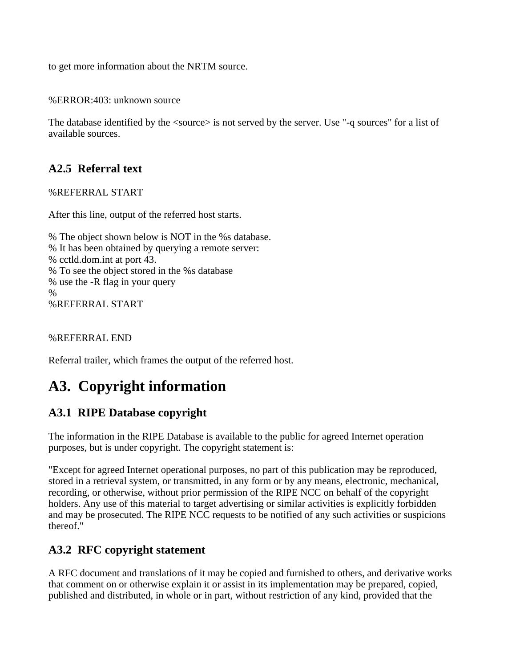to get more information about the NRTM source.

%ERROR:403: unknown source

The database identified by the  $\langle$ source $\rangle$  is not served by the server. Use "-q sources" for a list of available sources.

## **A2.5 Referral text**

%REFERRAL START

After this line, output of the referred host starts.

% The object shown below is NOT in the %s database. % It has been obtained by querying a remote server: % cctld.dom.int at port 43. % To see the object stored in the %s database % use the -R flag in your query % %REFERRAL START

%REFERRAL END

Referral trailer, which frames the output of the referred host.

# **A3. Copyright information**

### **A3.1 RIPE Database copyright**

The information in the RIPE Database is available to the public for agreed Internet operation purposes, but is under copyright. The copyright statement is:

"Except for agreed Internet operational purposes, no part of this publication may be reproduced, stored in a retrieval system, or transmitted, in any form or by any means, electronic, mechanical, recording, or otherwise, without prior permission of the RIPE NCC on behalf of the copyright holders. Any use of this material to target advertising or similar activities is explicitly forbidden and may be prosecuted. The RIPE NCC requests to be notified of any such activities or suspicions thereof."

### **A3.2 RFC copyright statement**

A RFC document and translations of it may be copied and furnished to others, and derivative works that comment on or otherwise explain it or assist in its implementation may be prepared, copied, published and distributed, in whole or in part, without restriction of any kind, provided that the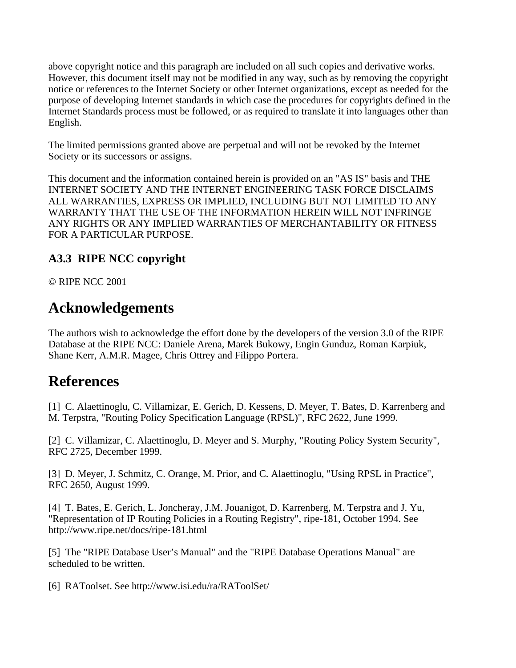above copyright notice and this paragraph are included on all such copies and derivative works. However, this document itself may not be modified in any way, such as by removing the copyright notice or references to the Internet Society or other Internet organizations, except as needed for the purpose of developing Internet standards in which case the procedures for copyrights defined in the Internet Standards process must be followed, or as required to translate it into languages other than English.

The limited permissions granted above are perpetual and will not be revoked by the Internet Society or its successors or assigns.

This document and the information contained herein is provided on an "AS IS" basis and THE INTERNET SOCIETY AND THE INTERNET ENGINEERING TASK FORCE DISCLAIMS ALL WARRANTIES, EXPRESS OR IMPLIED, INCLUDING BUT NOT LIMITED TO ANY WARRANTY THAT THE USE OF THE INFORMATION HEREIN WILL NOT INFRINGE ANY RIGHTS OR ANY IMPLIED WARRANTIES OF MERCHANTABILITY OR FITNESS FOR A PARTICULAR PURPOSE.

## **A3.3 RIPE NCC copyright**

© RIPE NCC 2001

# **Acknowledgements**

The authors wish to acknowledge the effort done by the developers of the version 3.0 of the RIPE Database at the RIPE NCC: Daniele Arena, Marek Bukowy, Engin Gunduz, Roman Karpiuk, Shane Kerr, A.M.R. Magee, Chris Ottrey and Filippo Portera.

# **References**

[1] C. Alaettinoglu, C. Villamizar, E. Gerich, D. Kessens, D. Meyer, T. Bates, D. Karrenberg and M. Terpstra, "Routing Policy Specification Language (RPSL)", RFC 2622, June 1999.

[2] C. Villamizar, C. Alaettinoglu, D. Meyer and S. Murphy, "Routing Policy System Security", RFC 2725, December 1999.

[3] D. Meyer, J. Schmitz, C. Orange, M. Prior, and C. Alaettinoglu, "Using RPSL in Practice", RFC 2650, August 1999.

[4] T. Bates, E. Gerich, L. Joncheray, J.M. Jouanigot, D. Karrenberg, M. Terpstra and J. Yu, "Representation of IP Routing Policies in a Routing Registry", ripe-181, October 1994. See http://www.ripe.net/docs/ripe-181.html

[5] The "RIPE Database User's Manual" and the "RIPE Database Operations Manual" are scheduled to be written.

[6] RAToolset. See http://www.isi.edu/ra/RAToolSet/